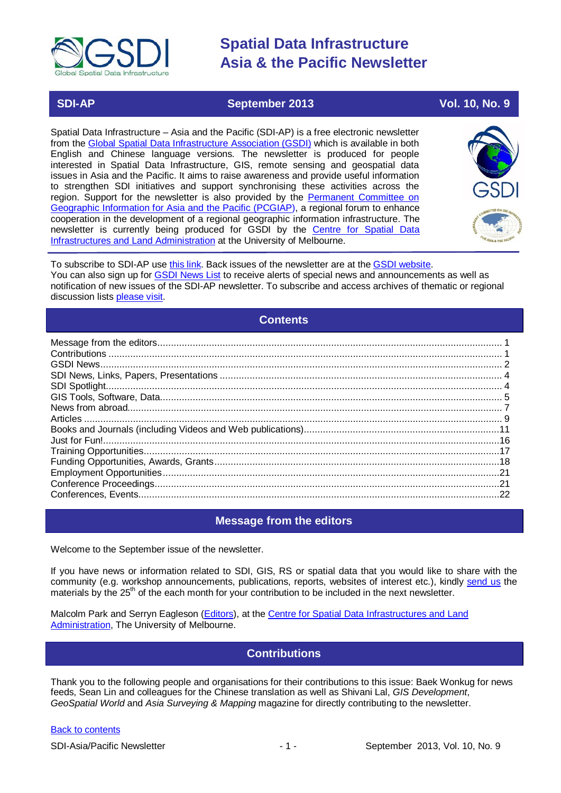

### **SDI-AP September 2013 Vol. 10, No. 9**

Spatial Data Infrastructure – Asia and the Pacific (SDI-AP) is a free electronic newsletter from the [Global Spatial Data Infrastructure Association \(GSDI\)](http://www.gsdi.org/) which is available in both English and Chinese language versions. The newsletter is produced for people interested in Spatial Data Infrastructure, GIS, remote sensing and geospatial data issues in Asia and the Pacific. It aims to raise awareness and provide useful information to strengthen SDI initiatives and support synchronising these activities across the region. Support for the newsletter is also provided by the Permanent Committee on [Geographic Information for Asia](http://www.pcgiap.org/) and the Pacific (PCGIAP), a regional forum to enhance cooperation in the development of a regional geographic information infrastructure. The newsletter is currently being produced for GSDI by the Centre for [Spatial Data](http://www.csdila.unimelb.edu.au/)  [Infrastructures and Land Administration](http://www.csdila.unimelb.edu.au/) at the University of Melbourne.



To subscribe to SDI-AP use [this link.](http://www.gsdi.org/newslist/gsdisubscribe.asp) Back issues of the newsletter are at the [GSDI website.](http://www.gsdi.org/newsletters.asp) You can also sign up for [GSDI News List](http://www.gsdi.org/newslist/gsdisubscribe.asp) to receive alerts of special news and announcements as well as notification of new issues of the SDI-AP newsletter. To subscribe and access archives of thematic or regional discussion lists [please visit.](http://www.gsdi.org/discussionlists.asp)

### **Contents**

<span id="page-0-0"></span>

### **Message from the editors**

<span id="page-0-1"></span>Welcome to the September issue of the newsletter.

If you have news or information related to SDI, GIS, RS or spatial data that you would like to share with the community (e.g. workshop announcements, publications, reports, websites of interest etc.), kindly [send us](mailto:.SDI-AP@gsdi.org) the materials by the 25<sup>th</sup> of the each month for your contribution to be included in the next newsletter.

<span id="page-0-2"></span>Malcolm Park and Serryn Eagleson [\(Editors\)](mailto:Editor.SDIAP@gmail.com), at the [Centre for Spatial Data Infrastructures and Land](http://www.csdila.unimelb.edu.au/)  [Administration,](http://www.csdila.unimelb.edu.au/) The University of Melbourne.

### **Contributions**

Thank you to the following people and organisations for their contributions to this issue: Baek Wonkug for news feeds, Sean Lin and colleagues for the Chinese translation as well as Shivani Lal, *GIS Development*, *GeoSpatial World* and *Asia Surveying & Mapping* magazine for directly contributing to the newsletter.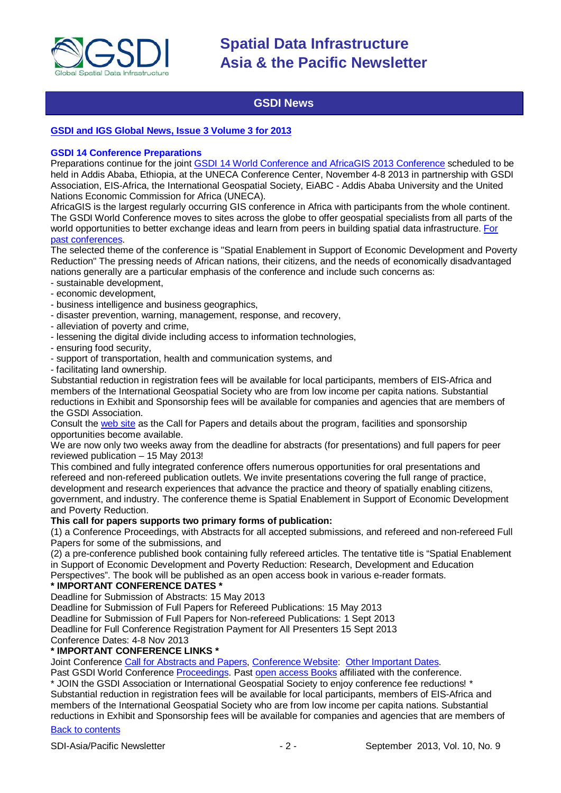

### **GSDI News**

#### <span id="page-1-0"></span>**GSDI [and IGS Global News, Issue 3 Volume 3 for 2013](http://www.gsdi.org/newsletters#GSDI)**

#### **GSDI 14 Conference Preparations**

Preparations continue for the joint [GSDI 14 World Conference and AfricaGIS 2013 Conference](http://www.gsdi.org/gsdi14) scheduled to be held in Addis Ababa, Ethiopia, at the UNECA Conference Center, November 4-8 2013 in partnership with GSDI Association, EIS-Africa, the International Geospatial Society, EiABC - Addis Ababa University and the United Nations Economic Commission for Africa (UNECA).

AfricaGIS is the largest regularly occurring GIS conference in Africa with participants from the whole continent. The GSDI World Conference moves to sites across the globe to offer geospatial specialists from all parts of the world opportunities to better exchange ideas and learn from peers in building spatial data infrastructure. [For](http://www.gsdi.org/gsdiConferences)  [past conferences.](http://www.gsdi.org/gsdiConferences)

The selected theme of the conference is "Spatial Enablement in Support of Economic Development and Poverty Reduction" The pressing needs of African nations, their citizens, and the needs of economically disadvantaged nations generally are a particular emphasis of the conference and include such concerns as:

- sustainable development,
- economic development,
- business intelligence and business geographics,
- disaster prevention, warning, management, response, and recovery,
- alleviation of poverty and crime,
- lessening the digital divide including access to information technologies,
- ensuring food security,
- support of transportation, health and communication systems, and
- facilitating land ownership.

Substantial reduction in registration fees will be available for local participants, members of EIS-Africa and members of the International Geospatial Society who are from low income per capita nations. Substantial reductions in Exhibit and Sponsorship fees will be available for companies and agencies that are members of the GSDI Association.

Consult the [web site](http://gsdi.org/gsdi14) as the Call for Papers and details about the program, facilities and sponsorship opportunities become available.

We are now only two weeks away from the deadline for abstracts (for presentations) and full papers for peer reviewed publication – 15 May 2013!

This combined and fully integrated conference offers numerous opportunities for oral presentations and refereed and non-refereed publication outlets. We invite presentations covering the full range of practice, development and research experiences that advance the practice and theory of spatially enabling citizens, government, and industry. The conference theme is Spatial Enablement in Support of Economic Development and Poverty Reduction.

#### **This call for papers supports two primary forms of publication:**

(1) a Conference Proceedings, with Abstracts for all accepted submissions, and refereed and non-refereed Full Papers for some of the submissions, and

(2) a pre-conference published book containing fully refereed articles. The tentative title is "Spatial Enablement in Support of Economic Development and Poverty Reduction: Research, Development and Education Perspectives". The book will be published as an open access book in various e-reader formats.

#### **\* IMPORTANT CONFERENCE DATES \***

Deadline for Submission of Abstracts: 15 May 2013

Deadline for Submission of Full Papers for Refereed Publications: 15 May 2013

Deadline for Submission of Full Papers for Non-refereed Publications: 1 Sept 2013

Deadline for Full Conference Registration Payment for All Presenters 15 Sept 2013

Conference Dates: 4-8 Nov 2013

#### **\* IMPORTANT CONFERENCE LINKS \***

Joint Conference [Call for Abstracts and Papers,](http://www.gsdi.org/gsdiconf/gsdi14/papercall.html) [Conference Website:](http://www.gsdi.org/gsdi14) [Other Important Dates.](http://www.gsdi.org/gsdiconf/gsdi14/dates.html)

Past GSDI World Conference [Proceedings.](http://www.gsdi.org/gsdiConferences) Past [open access Books](http://www.gsdi.org/openaccessbooks) affiliated with the conference.

\* JOIN the GSDI Association or International Geospatial Society to enjoy conference fee reductions! \* Substantial reduction in registration fees will be available for local participants, members of EIS-Africa and members of the International Geospatial Society who are from low income per capita nations. Substantial reductions in Exhibit and Sponsorship fees will be available for companies and agencies that are members of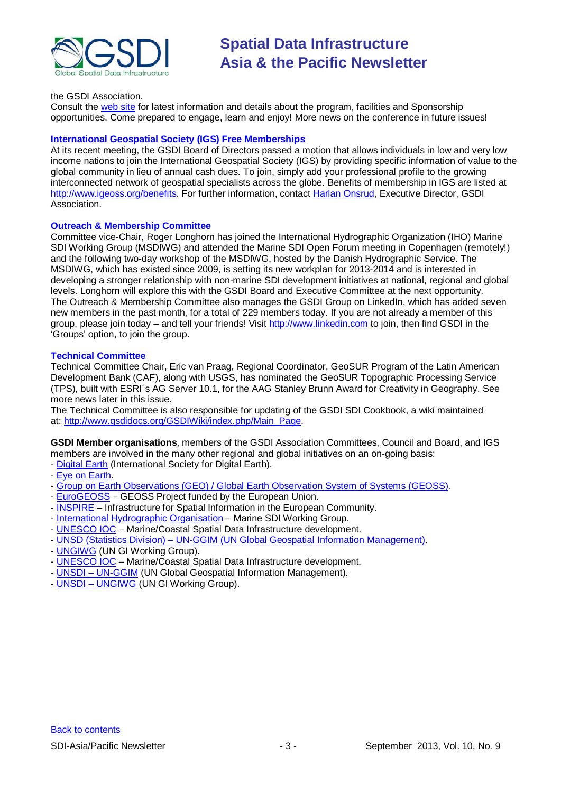

#### the GSDI Association.

Consult the [web site](http://gsdi.org/gsdi14/) for latest information and details about the program, facilities and Sponsorship opportunities. Come prepared to engage, learn and enjoy! More news on the conference in future issues!

#### **International Geospatial Society (IGS) Free Memberships**

At its recent meeting, the GSDI Board of Directors passed a motion that allows individuals in low and very low income nations to join the International Geospatial Society (IGS) by providing specific information of value to the global community in lieu of annual cash dues. To join, simply add your professional profile to the growing interconnected network of geospatial specialists across the globe. Benefits of membership in IGS are listed at [http://www.igeoss.org/benefits.](https://owa.unimelb.edu.au/owa/redir.aspx?C=54c2b4d3973d480282dc7c38384f4204&URL=http%3a%2f%2fwww.igeoss.org%2fbenefits) For further information, contact [Harlan Onsrud,](mailto:onsrud@gsdi.org) Executive Director, GSDI Association.

#### **Outreach & Membership Committee**

Committee vice-Chair, Roger Longhorn has joined the International Hydrographic Organization (IHO) Marine SDI Working Group (MSDIWG) and attended the Marine SDI Open Forum meeting in Copenhagen (remotely!) and the following two-day workshop of the MSDIWG, hosted by the Danish Hydrographic Service. The MSDIWG, which has existed since 2009, is setting its new workplan for 2013-2014 and is interested in developing a stronger relationship with non-marine SDI development initiatives at national, regional and global levels. Longhorn will explore this with the GSDI Board and Executive Committee at the next opportunity. The Outreach & Membership Committee also manages the GSDI Group on LinkedIn, which has added seven new members in the past month, for a total of 229 members today. If you are not already a member of this group, please join today – and tell your friends! Visit [http://www.linkedin.com](https://owa.unimelb.edu.au/owa/redir.aspx?C=rDg2dzQe3UKfwin28aspI4dcf2EJ4c8IKc_jDEPg91nlCdVQBzUX28or6ioXGu07OXWheK19Jyk.&URL=http%3a%2f%2fwww.linkedin.com) to join, then find GSDI in the 'Groups' option, to join the group.

#### **Technical Committee**

Technical Committee Chair, Eric van Praag, Regional Coordinator, GeoSUR Program of the Latin American Development Bank (CAF), along with USGS, has nominated the GeoSUR Topographic Processing Service (TPS), built with ESRI´s AG Server 10.1, for the AAG Stanley Brunn Award for Creativity in Geography. See more news later in this issue.

The Technical Committee is also responsible for updating of the GSDI SDI Cookbook, a wiki maintained at: [http://www.gsdidocs.org/GSDIWiki/index.php/Main\\_Page.](https://owa.unimelb.edu.au/owa/redir.aspx?C=rDg2dzQe3UKfwin28aspI4dcf2EJ4c8IKc_jDEPg91nlCdVQBzUX28or6ioXGu07OXWheK19Jyk.&URL=http%3a%2f%2fwww.gsdidocs.org%2fGSDIWiki%2findex.php%2fMain_Page)

**GSDI Member organisations**, members of the GSDI Association Committees, Council and Board, and IGS members are involved in the many other regional and global initiatives on an on-going basis:

- [Digital Earth](http://www.digitalearth-isde.org/) (International Society for Digital Earth).
- [Eye on Earth.](http://www.eyeonearth.org/)
- [Group on Earth Observations \(GEO\) / Global Earth](http://www.earthobservations.org/) Observation System of Systems (GEOSS).
- [EuroGEOSS](http://www.eurogeoss.eu/default.aspx) GEOSS Project funded by the European Union.
- [INSPIRE](http://www.inspire.jrc.ec.europa.eu/) Infrastructure for Spatial Information in the European Community.
- [International Hydrographic Organisation](http://www.iho.int/) Marine SDI Working Group.
- [UNESCO IOC](http://www.iode.org/) Marine/Coastal Spatial Data Infrastructure development.
- UNSD (Statistics Division) [UN-GGIM \(UN Global Geospatial Information Management\).](http://www.ggim.un.org/)
- [UNGIWG](http://www.ungiwg.org/) (UN GI Working Group).
- [UNESCO IOC](http://www.iode.org/) Marine/Coastal Spatial Data Infrastructure development.
- UNSDI [UN-GGIM](http://www.ggim.un.org/) (UN Global Geospatial Information Management).
- UNSDI [UNGIWG](http://www.ungiwg.org/) (UN GI Working Group).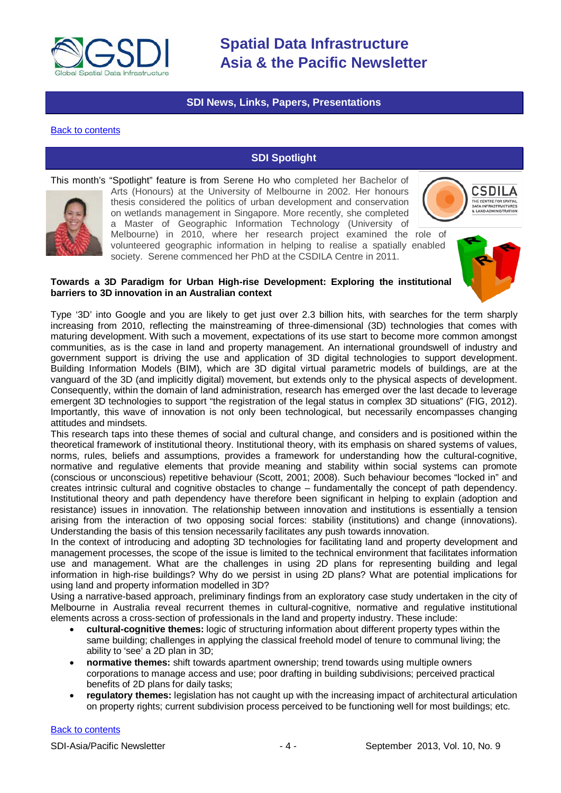

### **SDI News, Links, Papers, Presentations**

#### <span id="page-3-1"></span><span id="page-3-0"></span>[Back to contents](#page-0-0)

### **SDI Spotlight**

This month's "Spotlight" feature is from Serene Ho who completed her Bachelor of



Arts (Honours) at the University of Melbourne in 2002. Her honours thesis considered the politics of urban development and conservation on wetlands management in Singapore. More recently, she completed a Master of Geographic Information Technology (University of Melbourne) in 2010, where her research project examined the role of volunteered geographic information in helping to realise a spatially enabled society. Serene commenced her PhD at the CSDILA Centre in 2011.



**Towards a 3D Paradigm for Urban High-rise Development: Exploring the institutional barriers to 3D innovation in an Australian context**

Type '3D' into Google and you are likely to get just over 2.3 billion hits, with searches for the term sharply increasing from 2010, reflecting the mainstreaming of three-dimensional (3D) technologies that comes with maturing development. With such a movement, expectations of its use start to become more common amongst communities, as is the case in land and property management. An international groundswell of industry and government support is driving the use and application of 3D digital technologies to support development. Building Information Models (BIM), which are 3D digital virtual parametric models of buildings, are at the vanguard of the 3D (and implicitly digital) movement, but extends only to the physical aspects of development. Consequently, within the domain of land administration, research has emerged over the last decade to leverage emergent 3D technologies to support "the registration of the legal status in complex 3D situations" (FIG, 2012). Importantly, this wave of innovation is not only been technological, but necessarily encompasses changing attitudes and mindsets.

This research taps into these themes of social and cultural change, and considers and is positioned within the theoretical framework of institutional theory. Institutional theory, with its emphasis on shared systems of values, norms, rules, beliefs and assumptions, provides a framework for understanding how the cultural-cognitive, normative and regulative elements that provide meaning and stability within social systems can promote (conscious or unconscious) repetitive behaviour (Scott, 2001; 2008). Such behaviour becomes "locked in" and creates intrinsic cultural and cognitive obstacles to change – fundamentally the concept of path dependency. Institutional theory and path dependency have therefore been significant in helping to explain (adoption and resistance) issues in innovation. The relationship between innovation and institutions is essentially a tension arising from the interaction of two opposing social forces: stability (institutions) and change (innovations). Understanding the basis of this tension necessarily facilitates any push towards innovation.

In the context of introducing and adopting 3D technologies for facilitating land and property development and management processes, the scope of the issue is limited to the technical environment that facilitates information use and management. What are the challenges in using 2D plans for representing building and legal information in high-rise buildings? Why do we persist in using 2D plans? What are potential implications for using land and property information modelled in 3D?

Using a narrative-based approach, preliminary findings from an exploratory case study undertaken in the city of Melbourne in Australia reveal recurrent themes in cultural-cognitive, normative and regulative institutional elements across a cross-section of professionals in the land and property industry. These include:

- **cultural-cognitive themes:** logic of structuring information about different property types within the same building; challenges in applying the classical freehold model of tenure to communal living; the ability to 'see' a 2D plan in 3D;
- **normative themes:** shift towards apartment ownership; trend towards using multiple owners corporations to manage access and use; poor drafting in building subdivisions; perceived practical benefits of 2D plans for daily tasks;
- **regulatory themes:** legislation has not caught up with the increasing impact of architectural articulation on property rights; current subdivision process perceived to be functioning well for most buildings; etc.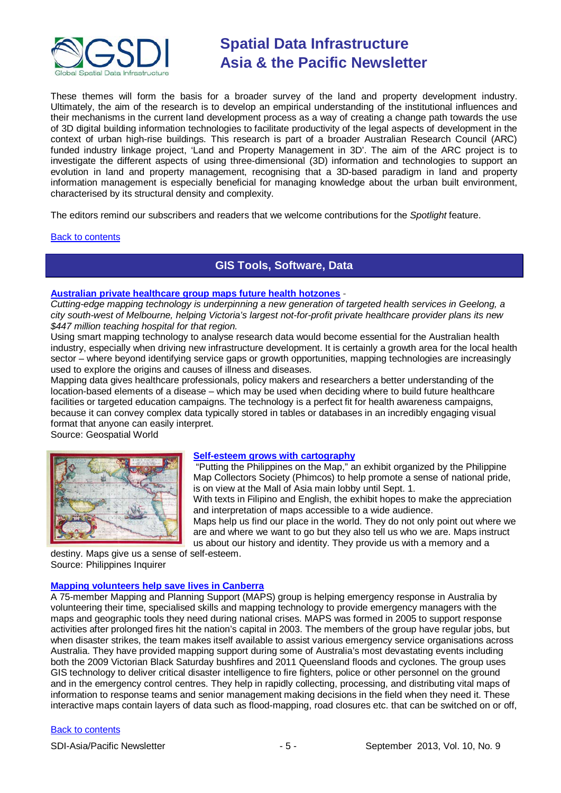

These themes will form the basis for a broader survey of the land and property development industry. Ultimately, the aim of the research is to develop an empirical understanding of the institutional influences and their mechanisms in the current land development process as a way of creating a change path towards the use of 3D digital building information technologies to facilitate productivity of the legal aspects of development in the context of urban high-rise buildings. This research is part of a broader Australian Research Council (ARC) funded industry linkage project, 'Land and Property Management in 3D'. The aim of the ARC project is to investigate the different aspects of using three-dimensional (3D) information and technologies to support an evolution in land and property management, recognising that a 3D-based paradigm in land and property information management is especially beneficial for managing knowledge about the urban built environment, characterised by its structural density and complexity.

The editors remind our subscribers and readers that we welcome contributions for the *Spotlight* feature.

#### <span id="page-4-0"></span>[Back to contents](#page-0-0)

### **GIS Tools, Software, Data**

#### **Australian private healthcare [group maps future health hotzones](http://www.geospatialworld.net/Paper/Case-Studies/ArticleView.aspx?aid=30627&utm_medium=email&utm_source=Act-On+Software&utm_content=email&utm_campaign=Asia%20Geospatial%20Digest%20-%20August%20%27013&utm_term=Australian%20private%20healthcare%20group%20ma)** -

*Cutting-edge mapping technology is underpinning a new generation of targeted health services in Geelong, a city south-west of Melbourne, helping Victoria's largest not-for-profit private healthcare provider plans its new \$447 million teaching hospital for that region.*

Using smart mapping technology to analyse research data would become essential for the Australian health industry, especially when driving new infrastructure development. It is certainly a growth area for the local health sector – where beyond identifying service gaps or growth opportunities, mapping technologies are increasingly used to explore the origins and causes of illness and diseases.

Mapping data gives healthcare professionals, policy makers and researchers a better understanding of the location-based elements of a disease – which may be used when deciding where to build future healthcare facilities or targeted education campaigns. The technology is a perfect fit for health awareness campaigns, because it can convey complex data typically stored in tables or databases in an incredibly engaging visual format that anyone can easily interpret.

Source: Geospatial World



#### **[Self-esteem grows with cartography](http://lifestyle.inquirer.net/121905/self-esteem-grows-with-cartography#ixzz2d0IktAif)**

"Putting the Philippines on the Map," an exhibit organized by the Philippine Map Collectors Society (Phimcos) to help promote a sense of national pride, is on view at the Mall of Asia main lobby until Sept. 1. With texts in Filipino and English, the exhibit hopes to make the appreciation and interpretation of maps accessible to a wide audience.

Maps help us find our place in the world. They do not only point out where we are and where we want to go but they also tell us who we are. Maps instruct us about our history and identity. They provide us with a memory and a

destiny. Maps give us a sense of self-esteem. Source: Philippines Inquirer

#### **[Mapping volunteers help save lives in Canberra](http://www.geospatialworld.net/News/View.aspx?id=27292_Article%20&utm_medium=email&utm_source=Act-On+Software&utm_content=email&utm_campaign=Asia%20Geospatial%20Digest%20-%20August%20%27013&utm_term=Mapping%20volunteers%20help%20save%20lives%20in%20Canberr)**

A 75-member Mapping and Planning Support (MAPS) group is helping emergency response in Australia by volunteering their time, specialised skills and mapping technology to provide emergency managers with the maps and geographic tools they need during national crises. MAPS was formed in 2005 to support response activities after prolonged fires hit the nation's capital in 2003. The members of the group have regular jobs, but when disaster strikes, the team makes itself available to assist various emergency service organisations across Australia. They have provided mapping support during some of Australia's most devastating events including both the 2009 Victorian Black Saturday bushfires and 2011 Queensland floods and cyclones. The group uses GIS technology to deliver critical disaster intelligence to fire fighters, police or other personnel on the ground and in the emergency control centres. They help in rapidly collecting, processing, and distributing vital maps of information to response teams and senior management making decisions in the field when they need it. These interactive maps contain layers of data such as flood-mapping, road closures etc. that can be switched on or off,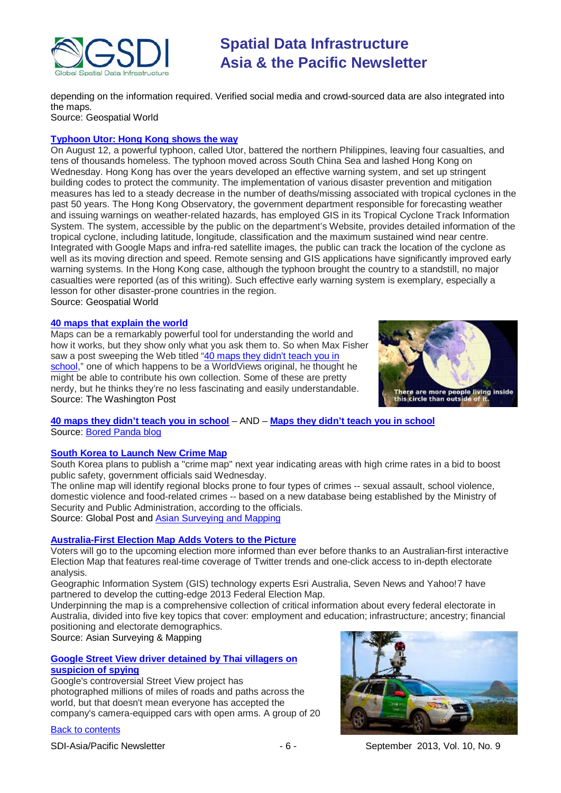

depending on the information required. Verified social media and crowd-sourced data are also integrated into the maps. Source: Geospatial World

#### **[Typhoon Utor: Hong Kong shows the way](http://www.geospatialworld.net/newsletter/aug2013_AG.htm)**

On August 12, a powerful typhoon, called Utor, battered the northern Philippines, leaving four casualties, and tens of thousands homeless. The typhoon moved across South China Sea and lashed Hong Kong on Wednesday. Hong Kong has over the years developed an effective warning system, and set up stringent building codes to protect the community. The implementation of various disaster prevention and mitigation measures has led to a steady decrease in the number of deaths/missing associated with tropical cyclones in the past 50 years. The Hong Kong Observatory, the government department responsible for forecasting weather and issuing warnings on weather-related hazards, has employed GIS in its Tropical Cyclone Track Information System. The system, accessible by the public on the department's Website, provides detailed information of the tropical cyclone, including latitude, longitude, classification and the maximum sustained wind near centre. Integrated with Google Maps and infra-red satellite images, the public can track the location of the cyclone as well as its moving direction and speed. Remote sensing and GIS applications have significantly improved early warning systems. In the Hong Kong case, although the typhoon brought the country to a standstill, no major casualties were reported (as of this writing). Such effective early warning system is exemplary, especially a lesson for other disaster-prone countries in the region. Source: Geospatial World

#### **[40 maps that explain the world](http://www.washingtonpost.com/blogs/worldviews/wp/2013/08/12/40-maps-that-explain-the-world/)**

Maps can be a remarkably powerful tool for understanding the world and how it works, but they show only what you ask them to. So when Max Fisher saw a post sweeping the Web titled "40 [maps](http://www.boredpanda.com/fun-maps-they-didnt-teach-you-in-school/) they didn't teach you in [school,](http://www.boredpanda.com/fun-maps-they-didnt-teach-you-in-school/)" one of which happens to be a WorldViews original, he thought he might be able to contribute his own collection. Some of these are pretty nerdy, but he thinks they're no less fascinating and easily understandable. Source: The Washington Post



#### **40 maps they didn't teach you in [school](http://www.boredpanda.com/fun-maps-they-didnt-teach-you-in-school/)** – AND – **[Maps they didn't teach you in school](http://www.boredpanda.com/maps-they-didnt-teach-you-in-school/)** Source: [Bored Panda blog](http://www.boredpanda.com/)

#### **[South Korea to Launch New Crime Map](http://www.globalpost.com/dispatch/news/yonhap-news-agency/130828/s-korea-launch-crime-map)**

South Korea plans to publish a "crime map" next year indicating areas with high crime rates in a bid to boost public safety, government officials said Wednesday.

The online map will identify regional blocks prone to four types of crimes -- sexual assault, school violence, domestic violence and food-related crimes -- based on a new database being established by the Ministry of Security and Public Administration, according to the officials.

Source: Global Post and [Asian Surveying and Mapping](http://www.asmmag.com/2012-12-30-14-17-42/headlines/5632-south-korea-to-launch-new-crime-map.html)

#### **[Australia-First Election Map Adds Voters to the Picture](http://www.asmmag.com/2012-12-30-14-17-42/corporate/5623-australia-first-election-map-adds-voters-to-the-picture.html)**

Voters will go to the upcoming election more informed than ever before thanks to an Australian-first interactive Election Map that features real-time coverage of Twitter trends and one-click access to in-depth electorate analysis.

Geographic Information System (GIS) technology experts Esri Australia, Seven News and Yahoo!7 have partnered to develop the cutting-edge 2013 Federal Election Map.

Underpinning the map is a comprehensive collection of critical information about every federal electorate in Australia, divided into five key topics that cover: employment and education; infrastructure; ancestry; financial positioning and electorate demographics.

Source: Asian Surveying & Mapping

#### **[Google Street View driver detained by Thai villagers on](http://www.theverge.com/2013/8/15/4624394/thai-villagers-interrogate-google-street-view-driver)  [suspicion of](http://www.theverge.com/2013/8/15/4624394/thai-villagers-interrogate-google-street-view-driver) spying**

Google's controversial Street View project has photographed millions of miles of roads and paths across the world, but that doesn't mean everyone has accepted the company's camera-equipped cars with open arms. A group of 20



SDI-Asia/Pacific Newsletter  $\sim$   $-6$  - September 2013, Vol. 10, No. 9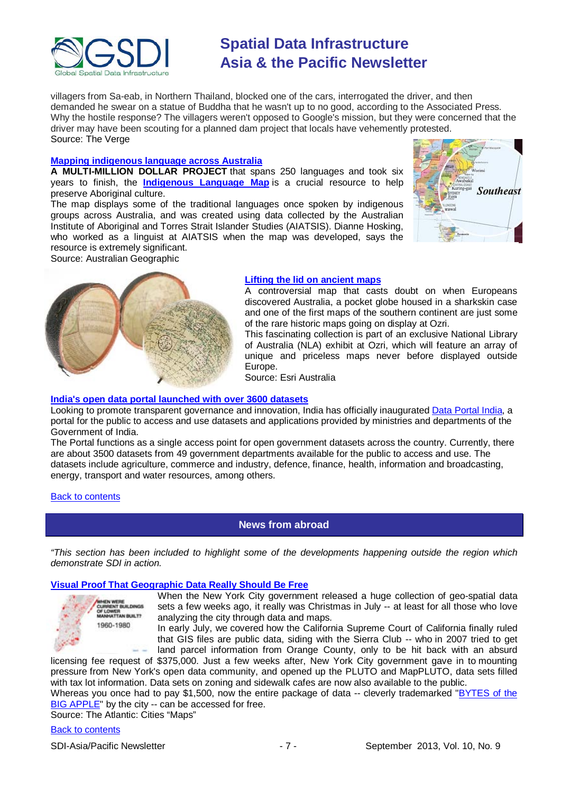

villagers from Sa-eab, in Northern Thailand, blocked one of the cars, interrogated the driver, and then demanded he swear on a statue of Buddha that he wasn't up to no good, according to the Associated Press. Why the hostile response? The villagers weren't opposed to Google's mission, but they were concerned that the driver may have been scouting for a planned dam project that locals have vehemently protested. Source: The Verge

#### **[Mapping indigenous language across Australia](http://www.australiangeographic.com.au/journal/mapping-aboriginal-language.htm?emv_mid=448074&emv_rid=892544325)**

**A MULTI-MILLION DOLLAR PROJECT** that spans 250 languages and took six years to finish, the **[Indigenous](http://www.abc.net.au/indigenous/map/) Language Map** is a crucial resource to help preserve Aboriginal culture.

The map displays some of the traditional languages once spoken by indigenous groups across Australia, and was created using data collected by the Australian Institute of Aboriginal and Torres Strait Islander Studies (AIATSIS). Dianne Hosking, who worked as a linguist at AIATSIS when the map was developed, says the resource is extremely significant. Source: Australian Geographic





#### **Lifting the lid on ancient maps**

A controversial map that casts doubt on when Europeans discovered Australia, a pocket globe housed in a sharkskin case and one of the first maps of the southern continent are just some of the rare historic maps going on display at Ozri.

This fascinating collection is part of an exclusive National Library of Australia (NLA) exhibit at Ozri, which will feature an array of unique and priceless maps never before displayed outside Europe.

Source: Esri Australia

#### **[India's open data portal launched with over 3600 datasets](http://www.futuregov.asia/articles/2013/aug/13/indias-open-data-portal-launched-3500-datasets/)**

Looking to promote transparent governance and innovation, India has officially inaugurate[d Data Portal India,](http://data.gov.in/) a portal for the public to access and use datasets and applications provided by ministries and departments of the Government of India.

The Portal functions as a single access point for open government datasets across the country. Currently, there are about 3500 datasets from 49 government departments available for the public to access and use. The datasets include agriculture, commerce and industry, defence, finance, health, information and broadcasting, energy, transport and water resources, among others.

#### <span id="page-6-0"></span>[Back to contents](#page-0-0)

### **News from abroad**

*"This section has been included to highlight some of the developments happening outside the region which demonstrate SDI in action.*

#### **[Visual Proof That Geographic Data Really Should Be Free](http://www.theatlanticcities.com/technology/2013/08/visual-proof-geographic-data-really-should-be-free/6529/)**

**IEN WERE**<br>IRIGENT BUILDINGS OF LOWER<br>MANHATTAN BUILT? 1960-1980

When the New York City government released a huge collection of geo-spatial data sets a few weeks ago, it really was Christmas in July -- at least for all those who love analyzing the city through data and maps.

In early July, we covered how the California Supreme Court of California finally ruled that GIS files are public data, siding with the Sierra Club -- who in 2007 tried to get land parcel information from Orange County, only to be hit back with an absurd

licensing fee request of \$375,000. Just a few weeks after, New York City government gave in to mounting pressure from New York's open data community, and opened up the PLUTO and MapPLUTO, data sets filled with tax lot information. Data sets on zoning and sidewalk cafes are now also available to the public.

Whereas you once had to pay \$1,500, now the entire package of data -- cleverly trademarked "BYTES of the [BIG APPLE"](http://www.nyc.gov/html/dcp/html/bytes/applbyte.shtml) by the city -- can be accessed for free.

Source: The Atlantic: Cities "Maps"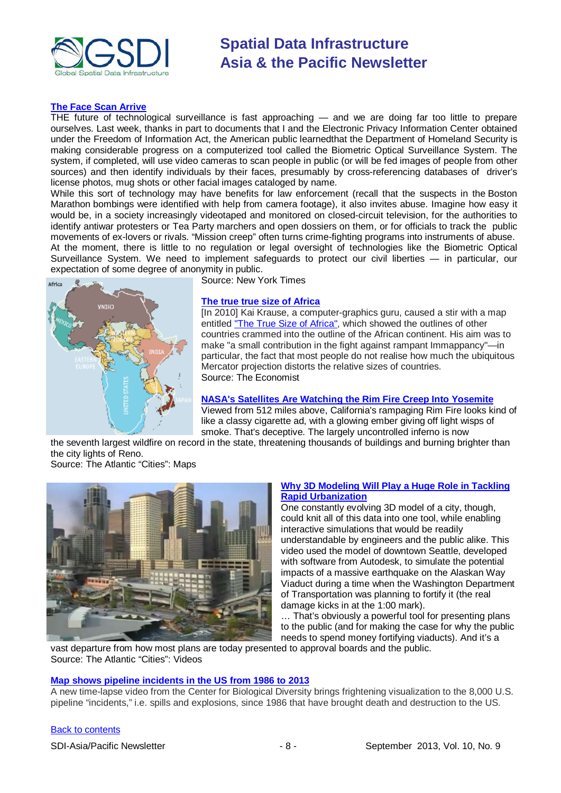

#### **[The Face Scan Arrive](http://www.nytimes.com/2013/08/30/opinion/the-face-scan-arrives.html)**

THE future of technological surveillance is fast approaching — and we are doing far too little to prepare ourselves. Last week, thanks in part to documents that I and the Electronic Privacy Information Center obtained under the Freedom of Information Act, the American public [learnedt](http://www.nytimes.com/2013/08/21/us/facial-scanning-is-making-gains-in-surveillance.html?pagewanted=all&_r=0)hat the [Department of Homeland Security](http://topics.nytimes.com/top/reference/timestopics/organizations/h/homeland_security_department/index.html?inline=nyt-org) is making considerable progress on a computerized tool called the Biometric Optical Surveillance System. The system, if completed, will use video cameras to scan people in public (or will be fed images of people from other sources) and then identify individuals by their faces, presumably by cross-referencing databases of driver's license photos, mug shots or other facial images cataloged by name.

While this sort of technology may have benefits for law enforcement (recall that the suspects in the Boston Marathon bombings were identified with help from camera footage), it also invites abuse. Imagine how easy it would be, in a society increasingly videotaped and monitored on closed-circuit television, for the authorities to identify antiwar protesters or Tea Party marchers and open dossiers on them, or for officials to track the public movements of ex-lovers or rivals. "Mission creep" often turns crime-fighting programs into instruments of abuse. At the moment, there is little to no regulation or legal oversight of technologies like the Biometric Optical Surveillance System. We need to implement safeguards to protect our civil liberties — in particular, our expectation of some degree of anonymity in public.



Source: New York Times

#### **[The true true size of Africa](http://www.economist.com/blogs/dailychart/2010/11/cartography)**

[In 2010] Kai Krause, a computer-graphics guru, caused a stir with a map entitled ["The True Size of Africa",](http://static02.mediaite.com/geekosystem/uploads/2010/10/true-size-of-africa.jpg) which showed the outlines of other countries crammed into the outline of the African continent. His aim was to make "a small contribution in the fight against rampant Immappancy"—in particular, the fact that most people do not realise how much the ubiquitous Mercator projection distorts the relative sizes of countries. Source: The Economist

#### **[NASA's Satellites Are Watching the Rim Fire Creep Into Yosemite](http://www.theatlanticcities.com/technology/2013/08/nasa-satellite-watches-rim-fire-creep-yosemite/6694/)**

Viewed from 512 miles above, California's rampaging Rim Fire looks kind of like a classy cigarette ad, with a glowing ember giving off light wisps of smoke. That's deceptive. The largely uncontrolled inferno is now

the seventh largest wildfire on record in the state, threatening thousands of buildings and burning brighter than the city lights of Reno. Source: The Atlantic "Cities": Maps



#### **[Why 3D Modeling Will Play a Huge Role in Tackling](http://www.theatlanticcities.com/technology/2013/01/why-3d-modeling-will-play-huge-role-tackling-rapid-urbanization/4439/)  [Rapid Urbanization](http://www.theatlanticcities.com/technology/2013/01/why-3d-modeling-will-play-huge-role-tackling-rapid-urbanization/4439/)**

One constantly evolving 3D model of a city, though, could knit all of this data into one tool, while enabling interactive simulations that would be readily understandable by engineers and the public alike. This video used the model of downtown Seattle, developed with software from Autodesk, to simulate the potential impacts of a massive earthquake on the Alaskan Way Viaduct during a time when the Washington Department of Transportation was planning to fortify it (the real damage kicks in at the 1:00 mark).

… That's obviously a powerful tool for presenting plans to the public (and for making the case for why the public needs to spend money fortifying viaducts). And it's a

vast departure from how most plans are today presented to approval boards and the public. Source: The Atlantic "Cities": Videos

#### **[Map shows pipeline incidents in the US from 1986 to 2013](http://blog.gisuser.com/2013/08/02/map-shows-pipeline-incidents-in-the-us-from-1986-to-2013/)**

A new time-lapse video from the Center for Biological Diversity brings frightening visualization to the 8,000 U.S. pipeline "incidents," i.e. spills and explosions, since 1986 that have brought death and destruction to the US.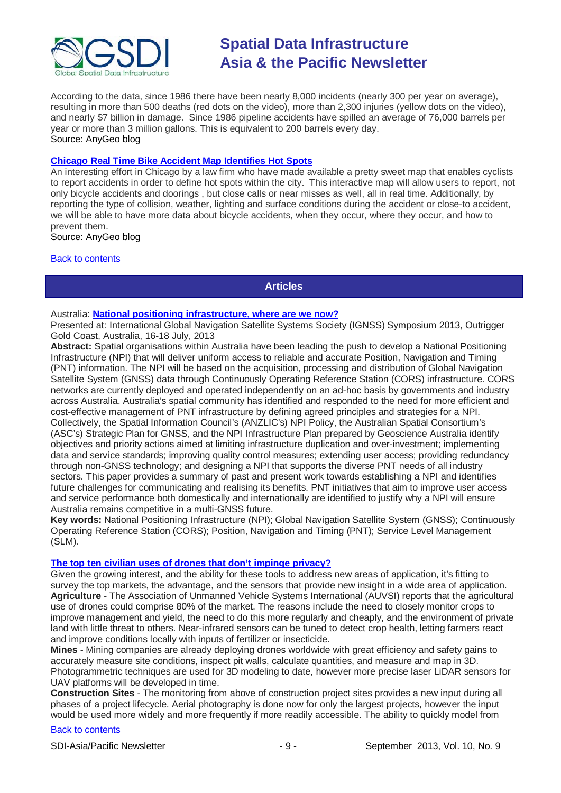

According to the data, since 1986 there have been nearly 8,000 incidents (nearly 300 per year on average), resulting in more than 500 deaths (red dots on the video), more than 2,300 injuries (yellow dots on the video), and nearly \$7 billion in damage. Since 1986 pipeline accidents have spilled an average of 76,000 barrels per year or more than 3 million gallons. This is equivalent to 200 barrels every day. Source: AnyGeo blog

#### **[Chicago Real Time Bike Accident Map Identifies Hot Spots](http://blog.gisuser.com/2013/08/02/chicago-real-time-bike-accident-map-identifies-hot-spots/)**

An interesting effort in Chicago by a law firm who have made available a pretty sweet map that enables cyclists to report accidents in order to define hot spots within the city. This interactive map will allow users to report, not only bicycle accidents and doorings , but close calls or near misses as well, all in real time. Additionally, by reporting the type of collision, weather, lighting and surface conditions during the accident or close-to accident, we will be able to have more data about bicycle accidents, when they occur, where they occur, and how to prevent them.

Source: AnyGeo blog

#### <span id="page-8-0"></span>[Back to contents](#page-0-0)

#### **Articles**

#### Australia: **[National positioning infrastructure, where are we now?](http://ignss.org/LinkClick.aspx?fileticket=FL2DqeKC9PI%3D&tabid=129&mid=524)**

Presented at: International Global Navigation Satellite Systems Society (IGNSS) Symposium 2013, Outrigger Gold Coast, Australia, 16-18 July, 2013

**Abstract:** Spatial organisations within Australia have been leading the push to develop a National Positioning Infrastructure (NPI) that will deliver uniform access to reliable and accurate Position, Navigation and Timing (PNT) information. The NPI will be based on the acquisition, processing and distribution of Global Navigation Satellite System (GNSS) data through Continuously Operating Reference Station (CORS) infrastructure. CORS networks are currently deployed and operated independently on an ad-hoc basis by governments and industry across Australia. Australia's spatial community has identified and responded to the need for more efficient and cost-effective management of PNT infrastructure by defining agreed principles and strategies for a NPI. Collectively, the Spatial Information Council's (ANZLIC's) NPI Policy, the Australian Spatial Consortium's (ASC's) Strategic Plan for GNSS, and the NPI Infrastructure Plan prepared by Geoscience Australia identify objectives and priority actions aimed at limiting infrastructure duplication and over-investment; implementing data and service standards; improving quality control measures; extending user access; providing redundancy through non-GNSS technology; and designing a NPI that supports the diverse PNT needs of all industry sectors. This paper provides a summary of past and present work towards establishing a NPI and identifies future challenges for communicating and realising its benefits. PNT initiatives that aim to improve user access and service performance both domestically and internationally are identified to justify why a NPI will ensure Australia remains competitive in a multi-GNSS future.

**Key words:** National Positioning Infrastructure (NPI); Global Navigation Satellite System (GNSS); Continuously Operating Reference Station (CORS); Position, Navigation and Timing (PNT); Service Level Management (SLM).

#### **[The top ten civilian uses of drones that don't impinge privacy?](http://www.asmmag.com/2012-12-30-14-40-18/feature/5593-what-are-the-top-ten-civilian-uses-of-drones-that-don-t-impinge-privacy.html)**

Given the growing interest, and the ability for these tools to address new areas of application, it's fitting to survey the top markets, the advantage, and the sensors that provide new insight in a wide area of application. **Agriculture** - The Association of Unmanned Vehicle Systems International (AUVSI) reports that the agricultural use of drones could comprise 80% of the market. The reasons include the need to closely monitor crops to improve management and yield, the need to do this more regularly and cheaply, and the environment of private land with little threat to others. Near-infrared sensors can be tuned to detect crop health, letting farmers react and improve conditions locally with inputs of fertilizer or insecticide.

**Mines** - Mining companies are already deploying drones worldwide with great efficiency and safety gains to accurately measure site conditions, inspect pit walls, calculate quantities, and measure and map in 3D. Photogrammetric techniques are used for 3D modeling to date, however more precise laser LiDAR sensors for UAV platforms will be developed in time.

**Construction Sites** - The monitoring from above of construction project sites provides a new input during all phases of a project lifecycle. Aerial photography is done now for only the largest projects, however the input would be used more widely and more frequently if more readily accessible. The ability to quickly model from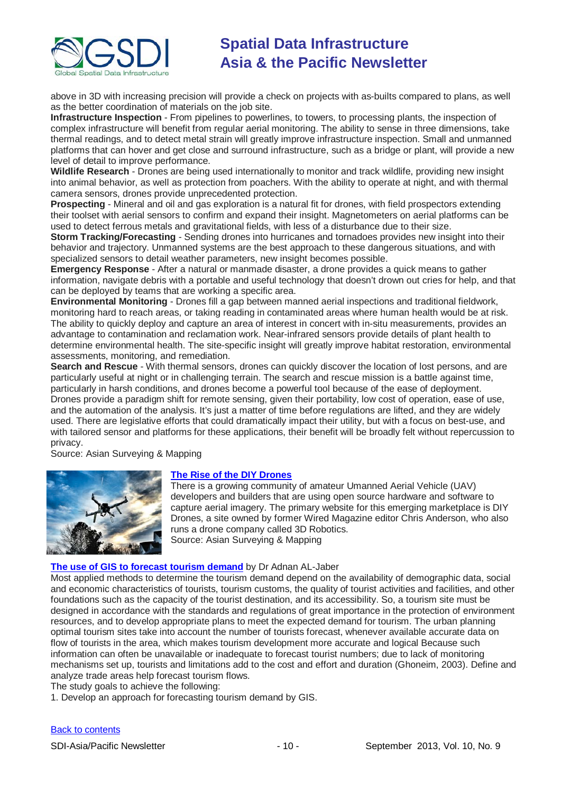

above in 3D with increasing precision will provide a check on projects with as-builts compared to plans, as well as the better coordination of materials on the job site.

**Infrastructure Inspection** - From pipelines to powerlines, to towers, to processing plants, the inspection of complex infrastructure will benefit from regular aerial monitoring. The ability to sense in three dimensions, take thermal readings, and to detect metal strain will greatly improve infrastructure inspection. Small and unmanned platforms that can hover and get close and surround infrastructure, such as a bridge or plant, will provide a new level of detail to improve performance.

**Wildlife Research** - Drones are being used internationally to monitor and track wildlife, providing new insight into animal behavior, as well as protection from poachers. With the ability to operate at night, and with thermal camera sensors, drones provide unprecedented protection.

**Prospecting** - Mineral and oil and gas exploration is a natural fit for drones, with field prospectors extending their toolset with aerial sensors to confirm and expand their insight. Magnetometers on aerial platforms can be used to detect ferrous metals and gravitational fields, with less of a disturbance due to their size.

**Storm Tracking/Forecasting** - Sending drones into hurricanes and tornadoes provides new insight into their behavior and trajectory. Unmanned systems are the best approach to these dangerous situations, and with specialized sensors to detail weather parameters, new insight becomes possible.

**Emergency Response** - After a natural or manmade disaster, a drone provides a quick means to gather information, navigate debris with a portable and useful technology that doesn't drown out cries for help, and that can be deployed by teams that are working a specific area.

**Environmental Monitoring** - Drones fill a gap between manned aerial inspections and traditional fieldwork, monitoring hard to reach areas, or taking reading in contaminated areas where human health would be at risk. The ability to quickly deploy and capture an area of interest in concert with in-situ measurements, provides an advantage to contamination and reclamation work. Near-infrared sensors provide details of plant health to determine environmental health. The site-specific insight will greatly improve habitat restoration, environmental assessments, monitoring, and remediation.

**Search and Rescue** - With thermal sensors, drones can quickly discover the location of lost persons, and are particularly useful at night or in challenging terrain. The search and rescue mission is a battle against time, particularly in harsh conditions, and drones become a powerful tool because of the ease of deployment. Drones provide a paradigm shift for remote sensing, given their portability, low cost of operation, ease of use, and the automation of the analysis. It's just a matter of time before regulations are lifted, and they are widely used. There are legislative efforts that could dramatically impact their utility, but with a focus on best-use, and with tailored sensor and platforms for these applications, their benefit will be broadly felt without repercussion to privacy.

Source: Asian Surveying & Mapping



#### **[The Rise of the DIY Drones](http://www.asmmag.com/2012-12-30-14-40-18/feature/5560-the-rise-of-the-diy-drone.html)**

There is a growing community of amateur Umanned Aerial Vehicle (UAV) developers and builders that are using open source hardware and software to capture aerial imagery. The primary website for this emerging marketplace is DIY Drones, a site owned by former Wired Magazine editor Chris Anderson, who also runs a drone company called 3D Robotics. Source: Asian Surveying & Mapping

#### **[The use of GIS to forecast tourism demand](http://mycoordinates.org/the-use-of-gis-to-forecast-tourism-demand/)** by Dr Adnan AL-Jaber

Most applied methods to determine the tourism demand depend on the availability of demographic data, social and economic characteristics of tourists, tourism customs, the quality of tourist activities and facilities, and other foundations such as the capacity of the tourist destination, and its accessibility. So, a tourism site must be designed in accordance with the standards and regulations of great importance in the protection of environment resources, and to develop appropriate plans to meet the expected demand for tourism. The urban planning optimal tourism sites take into account the number of tourists forecast, whenever available accurate data on flow of tourists in the area, which makes tourism development more accurate and logical Because such information can often be unavailable or inadequate to forecast tourist numbers; due to lack of monitoring mechanisms set up, tourists and limitations add to the cost and effort and duration (Ghoneim, 2003). Define and analyze trade areas help forecast tourism flows.

The study goals to achieve the following:

1. Develop an approach for forecasting tourism demand by GIS.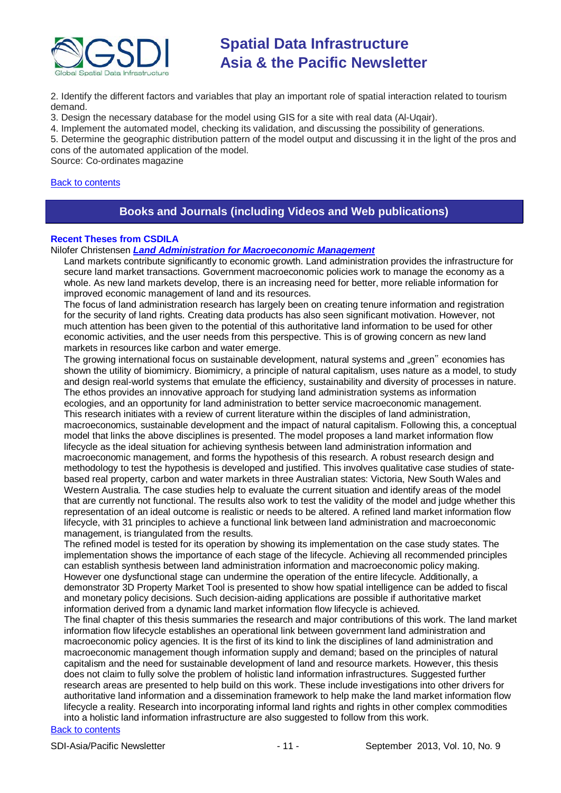

2. Identify the different factors and variables that play an important role of spatial interaction related to tourism demand.

3. Design the necessary database for the model using GIS for a site with real data (Al-Uqair).

4. Implement the automated model, checking its validation, and discussing the possibility of generations.

5. Determine the geographic distribution pattern of the model output and discussing it in the light of the pros and cons of the automated application of the model.

Source: Co-ordinates magazine

#### <span id="page-10-0"></span>[Back to contents](#page-0-0)

### **Books and Journals (including Videos and Web publications)**

#### **Recent Theses from CSDILA**

Nilofer Christensen *Land [Administration for Macroeconomic Management](http://www.csdila.unimelb.edu.au/publication/theses/Nilofer_Christensen_PhD_Thesis.pdf)*

Land markets contribute significantly to economic growth. Land administration provides the infrastructure for secure land market transactions. Government macroeconomic policies work to manage the economy as a whole. As new land markets develop, there is an increasing need for better, more reliable information for improved economic management of land and its resources.

The focus of land administration research has largely been on creating tenure information and registration for the security of land rights. Creating data products has also seen significant motivation. However, not much attention has been given to the potential of this authoritative land information to be used for other economic activities, and the user needs from this perspective. This is of growing concern as new land markets in resources like carbon and water emerge.

The growing international focus on sustainable development, natural systems and "green" economies has shown the utility of biomimicry. Biomimicry, a principle of natural capitalism, uses nature as a model, to study and design real-world systems that emulate the efficiency, sustainability and diversity of processes in nature. The ethos provides an innovative approach for studying land administration systems as information ecologies, and an opportunity for land administration to better service macroeconomic management. This research initiates with a review of current literature within the disciples of land administration, macroeconomics, sustainable development and the impact of natural capitalism. Following this, a conceptual model that links the above disciplines is presented. The model proposes a land market information flow lifecycle as the ideal situation for achieving synthesis between land administration information and macroeconomic management, and forms the hypothesis of this research. A robust research design and methodology to test the hypothesis is developed and justified. This involves qualitative case studies of statebased real property, carbon and water markets in three Australian states: Victoria, New South Wales and Western Australia. The case studies help to evaluate the current situation and identify areas of the model that are currently not functional. The results also work to test the validity of the model and judge whether this representation of an ideal outcome is realistic or needs to be altered. A refined land market information flow lifecycle, with 31 principles to achieve a functional link between land administration and macroeconomic management, is triangulated from the results.

The refined model is tested for its operation by showing its implementation on the case study states. The implementation shows the importance of each stage of the lifecycle. Achieving all recommended principles can establish synthesis between land administration information and macroeconomic policy making. However one dysfunctional stage can undermine the operation of the entire lifecycle. Additionally, a demonstrator 3D Property Market Tool is presented to show how spatial intelligence can be added to fiscal and monetary policy decisions. Such decision-aiding applications are possible if authoritative market information derived from a dynamic land market information flow lifecycle is achieved.

The final chapter of this thesis summaries the research and major contributions of this work. The land market information flow lifecycle establishes an operational link between government land administration and macroeconomic policy agencies. It is the first of its kind to link the disciplines of land administration and macroeconomic management though information supply and demand; based on the principles of natural capitalism and the need for sustainable development of land and resource markets. However, this thesis does not claim to fully solve the problem of holistic land information infrastructures. Suggested further research areas are presented to help build on this work. These include investigations into other drivers for authoritative land information and a dissemination framework to help make the land market information flow lifecycle a reality. Research into incorporating informal land rights and rights in other complex commodities into a holistic land information infrastructure are also suggested to follow from this work.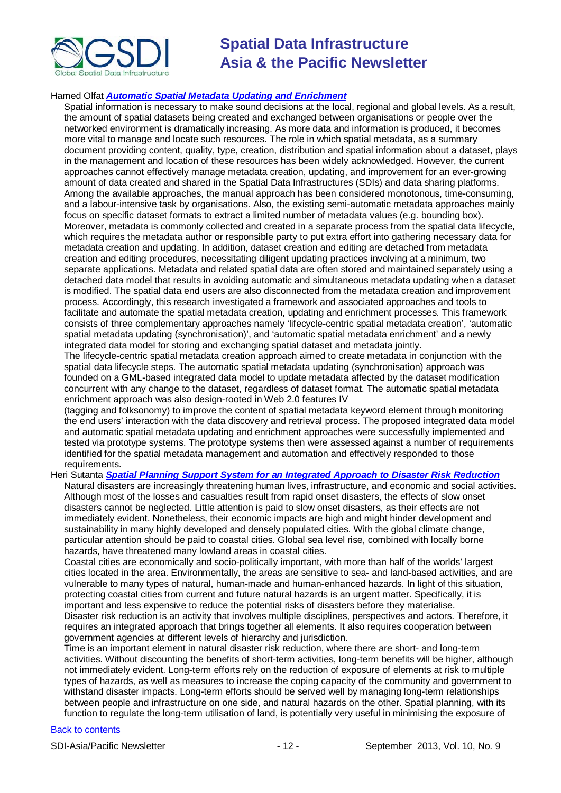

#### Hamed Olfat *[Automatic Spatial Metadata Updating and Enrichment](http://www.csdila.unimelb.edu.au/publication/theses/Hamed%20Olfat_PhD_Thesis.pdf)*

Spatial information is necessary to make sound decisions at the local, regional and global levels. As a result, the amount of spatial datasets being created and exchanged between organisations or people over the networked environment is dramatically increasing. As more data and information is produced, it becomes more vital to manage and locate such resources. The role in which spatial metadata, as a summary document providing content, quality, type, creation, distribution and spatial information about a dataset, plays in the management and location of these resources has been widely acknowledged. However, the current approaches cannot effectively manage metadata creation, updating, and improvement for an ever-growing amount of data created and shared in the Spatial Data Infrastructures (SDIs) and data sharing platforms. Among the available approaches, the manual approach has been considered monotonous, time-consuming, and a labour-intensive task by organisations. Also, the existing semi-automatic metadata approaches mainly focus on specific dataset formats to extract a limited number of metadata values (e.g. bounding box). Moreover, metadata is commonly collected and created in a separate process from the spatial data lifecycle, which requires the metadata author or responsible party to put extra effort into gathering necessary data for metadata creation and updating. In addition, dataset creation and editing are detached from metadata creation and editing procedures, necessitating diligent updating practices involving at a minimum, two separate applications. Metadata and related spatial data are often stored and maintained separately using a detached data model that results in avoiding automatic and simultaneous metadata updating when a dataset is modified. The spatial data end users are also disconnected from the metadata creation and improvement process. Accordingly, this research investigated a framework and associated approaches and tools to facilitate and automate the spatial metadata creation, updating and enrichment processes. This framework consists of three complementary approaches namely 'lifecycle-centric spatial metadata creation', 'automatic spatial metadata updating (synchronisation)', and 'automatic spatial metadata enrichment' and a newly integrated data model for storing and exchanging spatial dataset and metadata jointly.

The lifecycle-centric spatial metadata creation approach aimed to create metadata in conjunction with the spatial data lifecycle steps. The automatic spatial metadata updating (synchronisation) approach was founded on a GML-based integrated data model to update metadata affected by the dataset modification concurrent with any change to the dataset, regardless of dataset format. The automatic spatial metadata enrichment approach was also design-rooted in Web 2.0 features IV

(tagging and folksonomy) to improve the content of spatial metadata keyword element through monitoring the end users' interaction with the data discovery and retrieval process. The proposed integrated data model and automatic spatial metadata updating and enrichment approaches were successfully implemented and tested via prototype systems. The prototype systems then were assessed against a number of requirements identified for the spatial metadata management and automation and effectively responded to those requirements.

#### Heri Sutanta *[Spatial Planning Support System for an Integrated Approach to Disaster Risk Reduction](http://www.csdila.unimelb.edu.au/publication/theses/Heri_Sutanta_PhD_Thesis.pdf)*

Natural disasters are increasingly threatening human lives, infrastructure, and economic and social activities. Although most of the losses and casualties result from rapid onset disasters, the effects of slow onset disasters cannot be neglected. Little attention is paid to slow onset disasters, as their effects are not immediately evident. Nonetheless, their economic impacts are high and might hinder development and sustainability in many highly developed and densely populated cities. With the global climate change, particular attention should be paid to coastal cities. Global sea level rise, combined with locally borne hazards, have threatened many lowland areas in coastal cities.

Coastal cities are economically and socio-politically important, with more than half of the worlds' largest cities located in the area. Environmentally, the areas are sensitive to sea- and land-based activities, and are vulnerable to many types of natural, human-made and human-enhanced hazards. In light of this situation, protecting coastal cities from current and future natural hazards is an urgent matter. Specifically, it is important and less expensive to reduce the potential risks of disasters before they materialise. Disaster risk reduction is an activity that involves multiple disciplines, perspectives and actors. Therefore, it requires an integrated approach that brings together all elements. It also requires cooperation between

government agencies at different levels of hierarchy and jurisdiction.

Time is an important element in natural disaster risk reduction, where there are short- and long-term activities. Without discounting the benefits of short-term activities, long-term benefits will be higher, although not immediately evident. Long-term efforts rely on the reduction of exposure of elements at risk to multiple types of hazards, as well as measures to increase the coping capacity of the community and government to withstand disaster impacts. Long-term efforts should be served well by managing long-term relationships between people and infrastructure on one side, and natural hazards on the other. Spatial planning, with its function to regulate the long-term utilisation of land, is potentially very useful in minimising the exposure of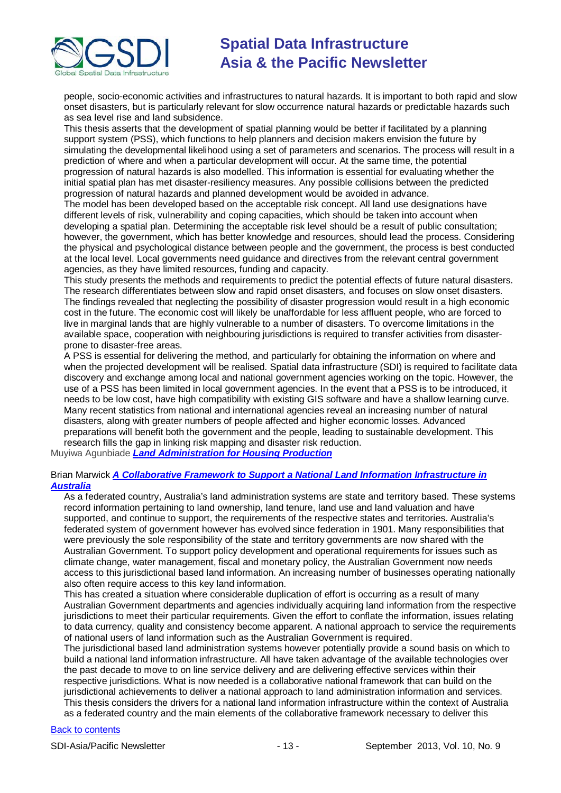

people, socio-economic activities and infrastructures to natural hazards. It is important to both rapid and slow onset disasters, but is particularly relevant for slow occurrence natural hazards or predictable hazards such as sea level rise and land subsidence.

This thesis asserts that the development of spatial planning would be better if facilitated by a planning support system (PSS), which functions to help planners and decision makers envision the future by simulating the developmental likelihood using a set of parameters and scenarios. The process will result in a prediction of where and when a particular development will occur. At the same time, the potential progression of natural hazards is also modelled. This information is essential for evaluating whether the initial spatial plan has met disaster-resiliency measures. Any possible collisions between the predicted progression of natural hazards and planned development would be avoided in advance.

The model has been developed based on the acceptable risk concept. All land use designations have different levels of risk, vulnerability and coping capacities, which should be taken into account when developing a spatial plan. Determining the acceptable risk level should be a result of public consultation; however, the government, which has better knowledge and resources, should lead the process. Considering the physical and psychological distance between people and the government, the process is best conducted at the local level. Local governments need guidance and directives from the relevant central government agencies, as they have limited resources, funding and capacity.

This study presents the methods and requirements to predict the potential effects of future natural disasters. The research differentiates between slow and rapid onset disasters, and focuses on slow onset disasters. The findings revealed that neglecting the possibility of disaster progression would result in a high economic cost in the future. The economic cost will likely be unaffordable for less affluent people, who are forced to live in marginal lands that are highly vulnerable to a number of disasters. To overcome limitations in the available space, cooperation with neighbouring jurisdictions is required to transfer activities from disasterprone to disaster-free areas.

A PSS is essential for delivering the method, and particularly for obtaining the information on where and when the projected development will be realised. Spatial data infrastructure (SDI) is required to facilitate data discovery and exchange among local and national government agencies working on the topic. However, the use of a PSS has been limited in local government agencies. In the event that a PSS is to be introduced, it needs to be low cost, have high compatibility with existing GIS software and have a shallow learning curve. Many recent statistics from national and international agencies reveal an increasing number of natural disasters, along with greater numbers of people affected and higher economic losses. Advanced preparations will benefit both the government and the people, leading to sustainable development. This research fills the gap in linking risk mapping and disaster risk reduction.

Muyiwa Agunbiade *[Land Administration for Housing Production](http://www.csdila.unimelb.edu.au/publication/theses/Muyiwa_LandAdministrationforhousingproduction.pdf)*

#### Brian Marwick *[A Collaborative Framework to Support a National Land Information Infrastructure in](http://dtl.unimelb.edu.au/R/FA9LBDF5QCGVKJ1DH93NR5CX2GIA6HXYYL4638QXJ4AC2IQN16-00374)  [Australia](http://dtl.unimelb.edu.au/R/FA9LBDF5QCGVKJ1DH93NR5CX2GIA6HXYYL4638QXJ4AC2IQN16-00374)*

As a federated country, Australia's land administration systems are state and territory based. These systems record information pertaining to land ownership, land tenure, land use and land valuation and have supported, and continue to support, the requirements of the respective states and territories. Australia's federated system of government however has evolved since federation in 1901. Many responsibilities that were previously the sole responsibility of the state and territory governments are now shared with the Australian Government. To support policy development and operational requirements for issues such as climate change, water management, fiscal and monetary policy, the Australian Government now needs access to this jurisdictional based land information. An increasing number of businesses operating nationally also often require access to this key land information.

This has created a situation where considerable duplication of effort is occurring as a result of many Australian Government departments and agencies individually acquiring land information from the respective jurisdictions to meet their particular requirements. Given the effort to conflate the information, issues relating to data currency, quality and consistency become apparent. A national approach to service the requirements of national users of land information such as the Australian Government is required.

The jurisdictional based land administration systems however potentially provide a sound basis on which to build a national land information infrastructure. All have taken advantage of the available technologies over the past decade to move to on line service delivery and are delivering effective services within their respective jurisdictions. What is now needed is a collaborative national framework that can build on the jurisdictional achievements to deliver a national approach to land administration information and services. This thesis considers the drivers for a national land information infrastructure within the context of Australia as a federated country and the main elements of the collaborative framework necessary to deliver this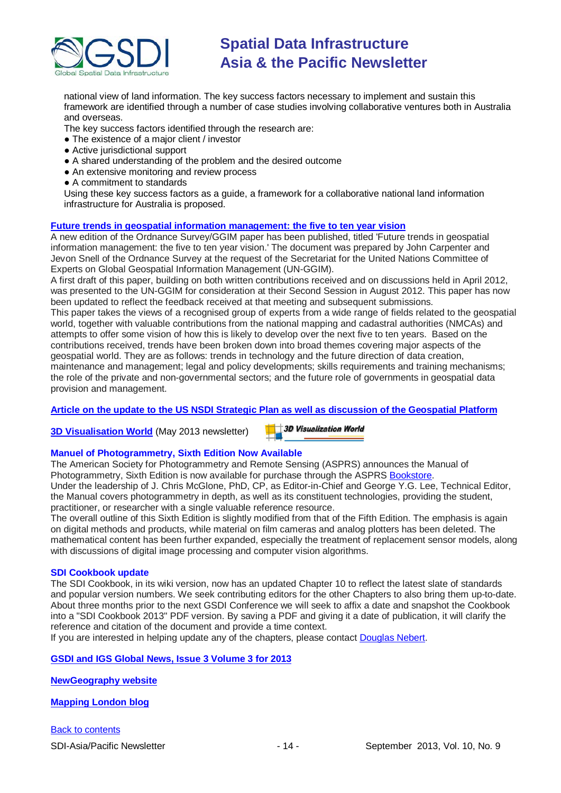

national view of land information. The key success factors necessary to implement and sustain this framework are identified through a number of case studies involving collaborative ventures both in Australia and overseas.

The key success factors identified through the research are:

- The existence of a major client / investor
- Active jurisdictional support
- A shared understanding of the problem and the desired outcome
- An extensive monitoring and review process
- A commitment to standards

Using these key success factors as a guide, a framework for a collaborative national land information infrastructure for Australia is proposed.

#### **[Future trends in geospatial information management: the five to ten year vision](http://ggim.un.org/docs/meetings/3rd%20UNCE/UN-GGIM-Future-trends.pdf)**

A new edition of the Ordnance Survey/GGIM paper has been published, titled 'Future trends in geospatial information management: the five to ten year vision.' The document was prepared by John Carpenter and Jevon Snell of the Ordnance Survey at the request of the Secretariat for the United Nations Committee of Experts on Global Geospatial Information Management (UN-GGIM).

A first draft of this paper, building on both written contributions received and on discussions held in April 2012, was presented to the UN-GGIM for consideration at their Second Session in August 2012. This paper has now been updated to reflect the feedback received at that meeting and subsequent submissions.

This paper takes the views of a recognised group of experts from a wide range of fields related to the geospatial world, together with valuable contributions from the national mapping and cadastral authorities (NMCAs) and attempts to offer some vision of how this is likely to develop over the next five to ten years. Based on the contributions received, trends have been broken down into broad themes covering major aspects of the geospatial world. They are as follows: trends in technology and the future direction of data creation, maintenance and management; legal and policy developments; skills requirements and training mechanisms; the role of the private and non-governmental sectors; and the future role of governments in geospatial data provision and management.

#### **[Article on the update to the US NSDI Strategic Plan as well as discussion of the Geospatial Platform](http://digital.onthefrontlines.net/i/141677)**

**[3D Visualisation World](http://visitor.benchmarkemail.com/c/v?e=2E5A3F&c=27A3B&l=42E79F4&email=20i0rPjCDuEQfH2i1glrmJemkgBQcCdv&relid=509BECB)** (May 2013 newsletter)

**3D Visualization World** 

#### **Manuel of Photogrammetry, Sixth Edition Now Available**

The American Society for Photogrammetry and Remote Sensing (ASPRS) announces the Manual of Photogrammetry, Sixth Edition is now available for purchase through the ASPRS [Bookstore.](http://www.asprs.org/Publications-Other/Bookstore.html) Under the leadership of J. Chris McGlone, PhD, CP, as Editor-in-Chief and George Y.G. Lee, Technical Editor,

the Manual covers photogrammetry in depth, as well as its constituent technologies, providing the student, practitioner, or researcher with a single valuable reference resource.

The overall outline of this Sixth Edition is slightly modified from that of the Fifth Edition. The emphasis is again on digital methods and products, while material on film cameras and analog plotters has been deleted. The mathematical content has been further expanded, especially the treatment of replacement sensor models, along with discussions of digital image processing and computer vision algorithms.

#### **SDI Cookbook update**

The SDI Cookbook, in its wiki version, now has an updated Chapter 10 to reflect the latest slate of standards and popular version numbers. We seek contributing editors for the other Chapters to also bring them up-to-date. About three months prior to the next GSDI Conference we will seek to affix a date and snapshot the Cookbook into a "SDI Cookbook 2013" PDF version. By saving a PDF and giving it a date of publication, it will clarify the reference and citation of the document and provide a time context.

If you are interested in helping update any of the chapters, please contact [Douglas Nebert.](mailto:ddnebert@usgs.gov)

#### **[GSDI and IGS Global News, Issue 3 Volume 3 for 2013](http://www.gsdi.org/newsletters#GSDI)**

**[NewGeography website](http://www.newgeography.com/)**

**[Mapping London blog](http://mappinglondon.co.uk/)**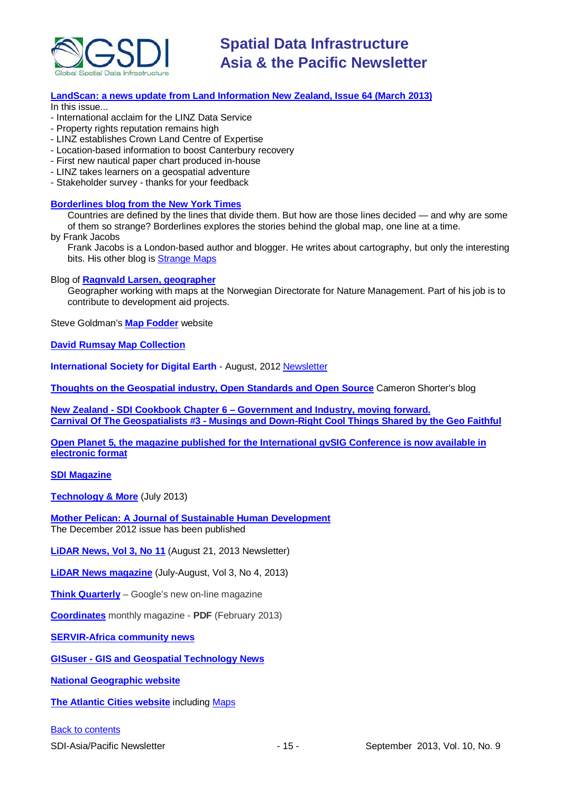

#### **[LandScan: a news update from Land Information New Zealand, Issue 64 \(March 2013\)](http://www.linz.govt.nz/sites/default/files/docs/supporting-info/about-linz/publications/landscan-201303.pdf)**

In this issue...

- International acclaim for the LINZ Data Service
- Property rights reputation remains high
- LINZ establishes Crown Land Centre of Expertise
- Location-based information to boost Canterbury recovery
- First new nautical paper chart produced in-house
- LINZ takes learners on a geospatial adventure
- Stakeholder survey thanks for your feedback

#### **[Borderlines blog from the New York Times](http://opinionator.blogs.nytimes.com/category/borderlines/)**

Countries are defined by the lines that divide them. But how are those lines decided — and why are some of them so strange? Borderlines explores the stories behind the global map, one line at a time.

by Frank Jacobs

Frank Jacobs is a London-based author and blogger. He writes about cartography, but only the interesting bits. His other blog is [Strange Maps](http://bigthink.com/blogs/strange-maps)

Blog of **[Ragnvald Larsen, geographer](http://www.mindland.com/wp/)**

Geographer working with maps at the Norwegian Directorate for Nature Management. Part of his job is to contribute to development aid projects.

Steve Goldman's **[Map Fodder](http://www.mapfodder.com/index.html)** website

**[David Rumsay Map Collection](http://www.davidrumsey.com/)**

**International Society for Digital Earth** - August, 2012 [Newsletter](http://www.digitalearth-isde.org/news/isde-newsletter(201208).html)

**[Thoughts on the Geospatial industry, Open Standards and Open Source](http://cameronshorter.blogspot.com/2011/06/memoirs-of-cat-herder-coordinating.html)** Cameron Shorter's blog

**New Zealand - SDI Cookbook Chapter 6 – [Government and Industry, moving forward.](http://www.geospatial.govt.nz/sdi-cookbook-chapter-6-government-and-industry-moving-forward) Carnival Of The Geospatialists #3 - [Musings and Down-Right Cool Things Shared by the](http://www.gisuser.com/content/view/25690/28/) Geo Faithful**

**[Open Planet 5, the magazine published for the International gvSIG Conference is now available in](http://jornadas.gvsig.org/descargas/magazine)  [electronic format](http://jornadas.gvsig.org/descargas/magazine)**

**[SDI Magazine](http://www.sdimag.com/)**

**[Technology & More](http://www.trimble.com/technologyandmore/i2-2013/)** (July 2013)

**[Mother Pelican: A Journal of Sustainable Human Development](http://www.pelicanweb.org/solisustv08n12page1.html)** The December 2012 issue has been published

**[LiDAR News, Vol 3, No 11](http://www.lidarnews.com/newsletter/Vol3No14.htm)** (August 21, 2013 Newsletter)

**[LiDAR News magazine](http://lidarnews.com/emag/2013/vol3no4/index.html)** (July-August, Vol 3, No 4, 2013)

**[Think Quarterly](http://thinkquarterly.co.uk/#aboutthebook)** – Google's new on-line magazine

**[Coordinates](http://mycoordinates.org/pdf/feb13.pdf)** monthly magazine - **PDF** (February 2013)

**[SERVIR-Africa community news](http://www.servirglobal.net/africa/en/News/CommunityNews.aspx)**

**GISuser - [GIS and Geospatial Technology News](http://www.gisuser.com/)**

**[National Geographic website](http://www.nationalgeographic.com/)**

**[The Atlantic Cities website](http://www.theatlanticcities.com/)** including [Maps](http://www.theatlanticcities.com/posts/map/)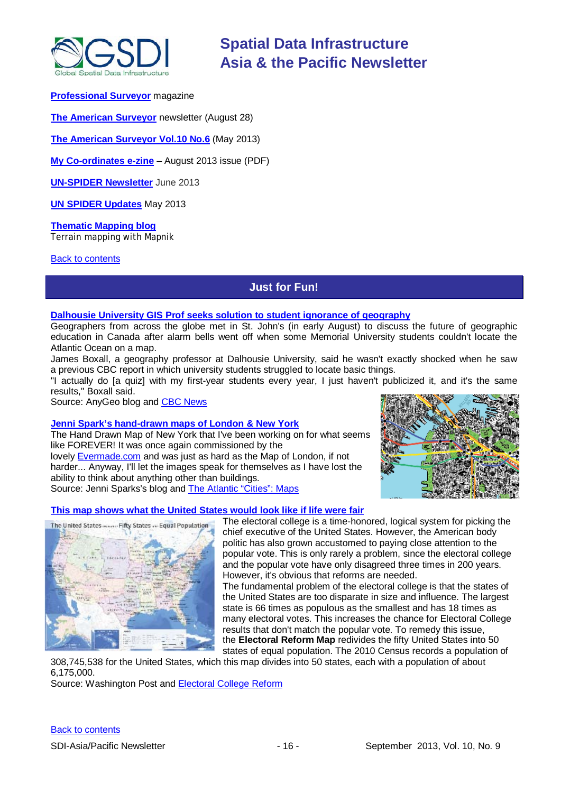

#### **[Professional Surveyor](http://www.profsurv.com/)** magazine

**[The American Surveyor](http://www.amerisurv.com/newsletter/28AUG2013.htm)** newsletter (August 28)

**[The American Surveyor Vol.10 No.6](http://amerisurv.com/emag/2013/vol10no6/index.html)** (May 2013)

**[My Co-ordinates e-zine](http://mycoordinates.org/pdf/aug13.pdf)** – August 2013 issue (PDF)

**[UN-SPIDER](http://www.un-spider.org/about/newsletter/un-spider-newsletter-213-earth-observation-disaster-response) Newsletter** June 2013

**[UN SPIDER Updates](http://www.un-spider.org/about/updates/un-spider-updates-may-2013)** May 2013

**[Thematic Mapping blog](http://blog.thematicmapping.org/)** Terrain mapping with Mapnik

#### <span id="page-15-0"></span>[Back to contents](#page-0-0)

### **Just for Fun!**

#### **[Dalhousie University GIS Prof seeks solution to student ignorance of geography](http://blog.gisuser.com/2013/08/12/dalhousie-university-gis-prof-seeks-solution-to-student-ignorance-of-geography/)**

Geographers from across the globe met in St. John's (in early August) to discuss the future of geographic education in Canada after alarm bells went off when some Memorial University students couldn't locate the Atlantic Ocean on a map.

James Boxall, a geography professor at Dalhousie University, said he wasn't exactly shocked when he saw a previous CBC report in which university students struggled to locate basic things.

"I actually do [a quiz] with my first-year students every year, I just haven't publicized it, and it's the same results," Boxall said.

Source: AnyGeo blog and [CBC News](http://www.cbc.ca/news/canada/newfoundland-labrador/story/2013/08/10/nl-geography-conference-810.html)

#### **Jenni Spark's [hand-drawn maps of London & New York](http://jennisparks.blogspot.com.au/)**

The Hand Drawn Map of New York that I've been working on for what seems like FOREVER! It was once again commissioned by the lovely [Evermade.com](http://www.evermade.com/) and was just as hard as the Map of London, if not harder... Anyway, I'll let the images speak for themselves as I have lost the ability to think about anything other than buildings. Source: Jenni Sparks's blog and [The Atlantic "Cities": Maps](http://www.theatlanticcities.com/arts-and-lifestyle/2012/12/drawing-intricate-details-city-maps-hand/4222/)

#### **This map shows what the United [States would look like if life were fair](http://www.washingtonpost.com/blogs/wonkblog/wp/2013/08/21/this-map-is-how-the-united-states-would-look-if-life-were-fair/)**



The electoral college is a time-honored, logical system for picking the chief executive of the United States. However, the American body politic has also grown accustomed to paying close attention to the popular vote. This is only rarely a problem, since the electoral college and the popular vote have only disagreed three times in 200 years. However, it's obvious that reforms are needed.

The fundamental problem of the electoral college is that the states of the United States are too disparate in size and influence. The largest state is 66 times as populous as the smallest and has 18 times as many electoral votes. This increases the chance for Electoral College results that don't match the popular vote. To remedy this issue, the **Electoral Reform Map** redivides the fifty United States into 50

states of equal population. The 2010 Census records a population of 308,745,538 for the United States, which this map divides into 50 states, each with a population of about 6,175,000.

Source: Washington Post and **Electoral College Reform**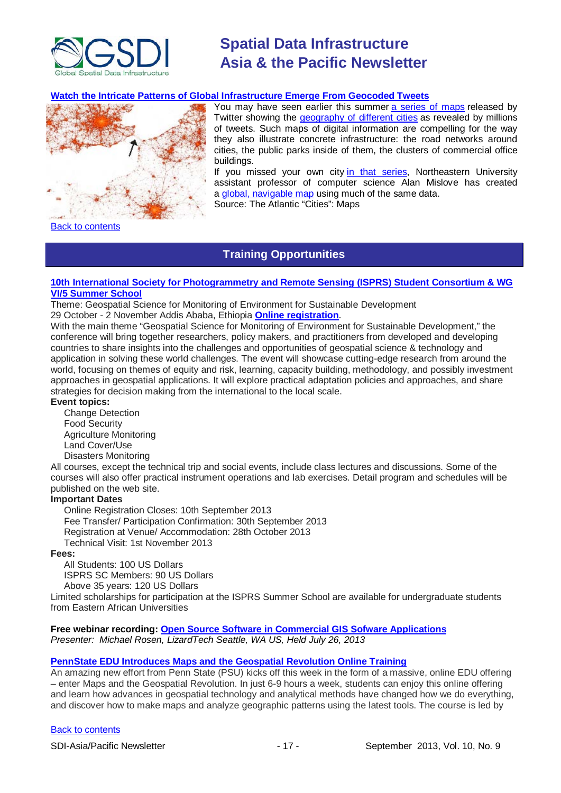

#### **[Watch the Intricate Patterns of Global Infrastructure Emerge From Geocoded Tweets](http://www.theatlanticcities.com/technology/2013/08/watch-intricate-patterns-global-infrastructure-emerge-geocoded-tweets/6395/)**



You may have seen earlier this summer [a series of maps](https://blog.twitter.com/2013/geography-tweets-3) released by Twitter showing the [geography of different cities](http://www.slate.com/blogs/future_tense/2013/05/31/geography_of_tweets_can_you_identify_a_city_based_on_a_twitter_data_visualization.html) as revealed by millions of tweets. Such maps of digital information are compelling for the way they also illustrate concrete infrastructure: the road networks around cities, the public parks inside of them, the clusters of commercial office buildings.

If you missed your own city [in that series,](http://www.flickr.com/photos/twitteroffice/sets/72157633647745984/) Northeastern University assistant professor of computer science Alan Mislove has created a [global, navigable map](http://www.ccs.neu.edu/home/amislove/tweetmap/) using much of the same data.

Source: The Atlantic "Cities": Maps

<span id="page-16-0"></span>[Back to contents](#page-0-0)

### **Training Opportunities**

#### **[10th International Society for Photogrammetry and Remote Sensing \(ISPRS\) Student Consortium & WG](http://www.rcmrd.org/index.php/isprs)  [VI/5 Summer School](http://www.rcmrd.org/index.php/isprs)**

Theme: Geospatial Science for Monitoring of Environment for Sustainable Development 29 October - 2 November Addis Ababa, Ethiopia **[Online registration](http://www.rcmrd.org/index.php/10th-isprs-student-consortium/register-now)**.

With the main theme "Geospatial Science for Monitoring of Environment for Sustainable Development," the conference will bring together researchers, policy makers, and practitioners from developed and developing countries to share insights into the challenges and opportunities of geospatial science & technology and application in solving these world challenges. The event will showcase cutting-edge research from around the world, focusing on themes of equity and risk, learning, capacity building, methodology, and possibly investment approaches in geospatial applications. It will explore practical adaptation policies and approaches, and share strategies for decision making from the international to the local scale.

#### **Event topics:**

Change Detection Food Security Agriculture Monitoring Land Cover/Use Disasters Monitoring

All courses, except the technical trip and social events, include class lectures and discussions. Some of the courses will also offer practical instrument operations and lab exercises. Detail program and schedules will be published on the web site.

#### **Important Dates**

Online Registration Closes: 10th September 2013 Fee Transfer/ Participation Confirmation: 30th September 2013 Registration at Venue/ Accommodation: 28th October 2013 Technical Visit: 1st November 2013

#### **Fees:**

All Students: 100 US Dollars ISPRS SC Members: 90 US Dollars Above 35 years: 120 US Dollars

Limited scholarships for participation at the ISPRS Summer School are available for undergraduate students from Eastern African Universities

#### **Free webinar recording: [Open Source Software in Commercial GIS Sofware Applications](https://attendee.gotowebinar.com/recording/4624270281082676480)** *Presenter: Michael Rosen, LizardTech Seattle, WA US, Held July 26, 2013*

#### **[PennState EDU Introduces Maps and the Geospatial](http://blog.gisuser.com/2013/07/16/pennstate-edu-introduces-maps-and-the-geospatial-revolution-online-training/) Revolution Online Training**

An amazing new effort from Penn State (PSU) kicks off this week in the form of a massive, online EDU offering – enter Maps and the Geospatial Revolution. In just 6-9 hours a week, students can enjoy this online offering and learn how advances in geospatial technology and analytical methods have changed how we do everything, and discover how to make maps and analyze geographic patterns using the latest tools. The course is led by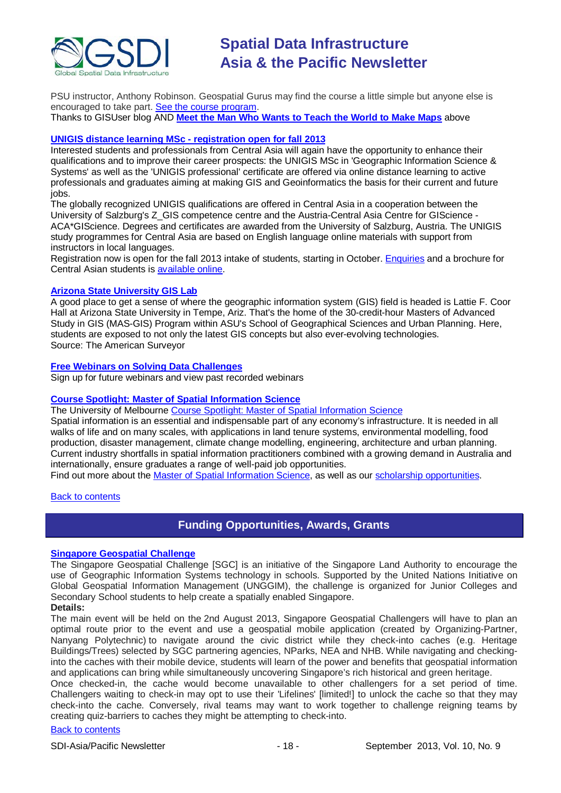

PSU instructor, Anthony Robinson. Geospatial Gurus may find the course a little simple but anyone else is encouraged to take part. [See the course program.](https://www.coursera.org/course/maps) Thanks to GISUser blog AND **[Meet the Man Who Wants to Teach the World to Make Maps](#page-15-0)** above

#### **[UNIGIS distance learning MSc -](http://acagisc.blogspot.com/2013/06/unigis-distance-learning-msc.html) registration open for fall 2013**

Interested students and professionals from Central Asia will again have the opportunity to enhance their qualifications and to improve their career prospects: the UNIGIS MSc in 'Geographic Information Science & Systems' as well as the 'UNIGIS professional' certificate are offered via online distance learning to active professionals and graduates aiming at making GIS and Geoinformatics the basis for their current and future iobs.

The globally recognized UNIGIS qualifications are offered in Central Asia in a cooperation between the University of Salzburg's Z\_GIS competence centre and the Austria-Central Asia Centre for GIScience - ACA\*GIScience. Degrees and certificates are awarded from the University of Salzburg, Austria. The UNIGIS study programmes for Central Asia are based on English language online materials with support from instructors in local languages.

Registration now is open for the fall 2013 intake of students, starting in October. [Enquiries](mailto:unigis@aca-giscience.org) and a brochure for Central Asian students is [available online.](https://docs.google.com/file/d/0B1W9laE7MF3yNjZjMzM0NGItOGU1Ni00ODRkLTgwMTEtOTRjYTUxMWU5MTdi/edit?pli=1&hl=en)

#### **[Arizona State University](http://www.amerisurv.com/content/view/11050/153/) GIS Lab**

A good place to get a sense of where the geographic information system (GIS) field is headed is Lattie F. Coor Hall at Arizona State University in Tempe, Ariz. That's the home of the 30-credit-hour Masters of Advanced Study in GIS (MAS-GIS) Program within ASU's School of Geographical Sciences and Urban Planning. Here, students are exposed to not only the latest GIS concepts but also ever-evolving technologies. Source: The American Surveyor

#### **[Free Webinars on Solving Data Challenges](http://www.safe.com/learning/webinars/)**

Sign up for future webinars and view past recorded webinars

#### **[Course Spotlight: Master of Spatial Information Science](http://themelbourneengineer.eng.unimelb.edu.au/2012/02/course-spotlight-master-of-spatial-information-science/)**

The University of Melbourne [Course Spotlight: Master of Spatial Information Science](http://themelbourneengineer.eng.unimelb.edu.au/2012/02/course-spotlight-master-of-spatial-information-science/)

Spatial information is an essential and indispensable part of any economy's infrastructure. It is needed in all walks of life and on many scales, with applications in land tenure systems, environmental modelling, food production, disaster management, climate change modelling, engineering, architecture and urban planning. Current industry shortfalls in spatial information practitioners combined with a growing demand in Australia and internationally, ensure graduates a range of well-paid job opportunities.

Find out more about the [Master of Spatial Information Science,](http://www.msi.unimelb.edu.au/study/graduate/master-of-spatial-information-science/) as well as our [scholarship opportunities.](http://www.eng.unimelb.edu.au/study/graduate/scholarships.html)

#### <span id="page-17-0"></span>Back [to contents](#page-0-0)

### **Funding Opportunities, Awards, Grants**

#### **[Singapore Geospatial Challenge](http://sgeospatial.weebly.com/sgwhat.html)**

The Singapore Geospatial Challenge [SGC] is an initiative of the Singapore Land Authority to encourage the use of Geographic Information Systems technology in schools. Supported by the United Nations Initiative on Global Geospatial Information Management (UNGGIM), the challenge is organized for Junior Colleges and Secondary School students to help create a spatially enabled Singapore.

#### **Details:**

The main event will be held on the 2nd August 2013, Singapore Geospatial Challengers will have to plan an optimal route prior to the event and use a geospatial mobile application (created by Organizing-Partner, Nanyang Polytechnic) to navigate around the civic district while they check-into caches (e.g. Heritage Buildings/Trees) selected by SGC partnering agencies, NParks, NEA and NHB. While navigating and checkinginto the caches with their mobile device, students will learn of the power and benefits that geospatial information and applications can bring while simultaneously uncovering Singapore's rich historical and green heritage.

Once checked-in, the cache would become unavailable to other challengers for a set period of time. Challengers waiting to check-in may opt to use their 'Lifelines' [limited!] to unlock the cache so that they may check-into the cache. Conversely, rival teams may want to work together to challenge reigning teams by creating quiz-barriers to caches they might be attempting to check-into.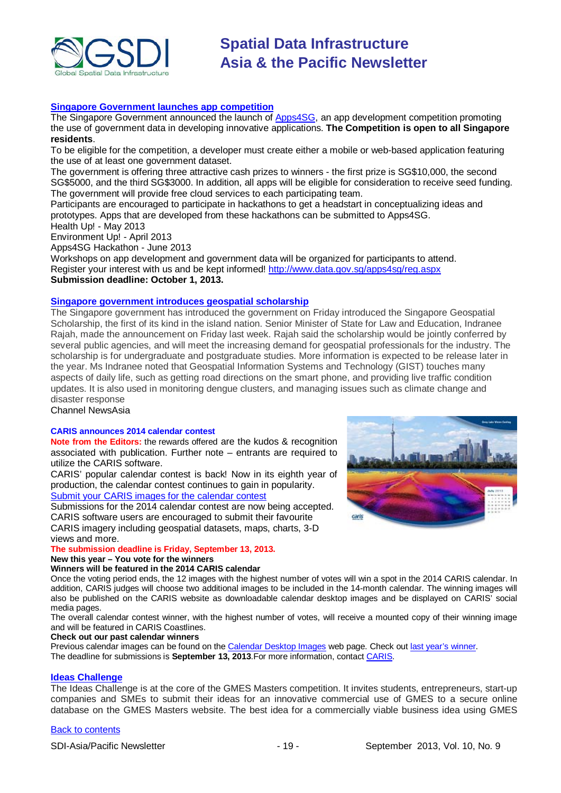

#### **[Singapore Government launches app competition](http://www.futuregov.asia/articles/2013/apr/03/singapore-government-launches-app-competition/)**

The Singapore Government announced the launch of **Apps4SG**, an app development competition promoting the use of government data in developing innovative applications. **The Competition is open to all Singapore residents**.

To be eligible for the competition, a developer must create either a mobile or web-based application featuring the use of at least one government dataset.

The government is offering three attractive cash prizes to winners - the first prize is SG\$10,000, the second SG\$5000, and the third SG\$3000. In addition, all apps will be eligible for consideration to receive seed funding. The government will provide free cloud services to each participating team.

Participants are encouraged to participate in hackathons to get a headstart in conceptualizing ideas and prototypes. Apps that are developed from these hackathons can be submitted to Apps4SG.

Health Up! - May 2013

Environment Up! - April 2013

Apps4SG Hackathon - June 2013

Workshops on app development and government data will be organized for participants to attend. Register your interest with us and be kept informed! [http://www.data.gov.sg/apps4sg/reg.aspx](https://owa.unimelb.edu.au/owa/redir.aspx?C=SzHNAl626ki9PiQZsK0eOSMT6H7CBtAI1q5ZvdwYeK6fo1dS_t5_M86QLVJxctM5SbXJkOBBAIY.&URL=http%3a%2f%2fwww.data.gov.sg%2fapps4sg%2freg.aspx) **Submission deadline: October 1, 2013.**

#### **[Singapore government introduces geospatial scholarship](http://www.channelnewsasia.com/news/singapore/government-introduces/763842.html)**

The Singapore government has introduced the government on Friday introduced the Singapore Geospatial Scholarship, the first of its kind in the island nation. Senior Minister of State for Law and Education, Indranee Rajah, made the announcement on Friday last week. Rajah said the scholarship would be jointly conferred by several public agencies, and will meet the increasing demand for geospatial professionals for the industry. The scholarship is for undergraduate and postgraduate studies. More information is expected to be release later in the year. Ms Indranee noted that Geospatial Information Systems and Technology (GIST) touches many aspects of daily life, such as getting road directions on the smart phone, and providing live traffic condition updates. It is also used in monitoring dengue clusters, and managing issues such as climate change and disaster response

Channel NewsAsia

#### **CARIS announces 2014 calendar contest**

**Note from the Editors:** the rewards offered are the kudos & recognition associated with publication. Further note – entrants are required to utilize the CARIS software.

CARIS' popular calendar contest is back! Now in its eighth year of production, the calendar contest continues to gain in popularity. [Submit your CARIS images](http://www.caris.com/calendar/contest14/) for the calendar contest

Submissions for the 2014 calendar contest are now being accepted. CARIS software users are encouraged to submit their favourite CARIS imagery including geospatial datasets, maps, charts, 3-D

views and more.

#### **The submission deadline is Friday, September 13, 2013.**

**New this year – You vote for the winners**

#### **Winners will be featured in the 2014 CARIS calendar**

Once the voting period ends, the 12 images with the highest number of votes will win a spot in the 2014 CARIS calendar. In addition, CARIS judges will choose two additional images to be included in the 14-month calendar. The winning images will also be published on the CARIS website as downloadable calendar desktop images and be displayed on CARIS' social media pages.

The overall calendar contest winner, with the highest number of votes, will receive a mounted copy of their winning image and will be featured in CARIS Coastlines.

#### **Check out our past calendar winners**

Previous calendar images can be found on the [Calendar Desktop Images](http://www.caris.com/calendar/contest13/index.cfm) web page. Check ou[t last year's winner.](http://www.caris.com/news/story.cfm?ID=279) The deadline for submissions is **September 13, 2013**.For more information, contact [CARIS.](mailto:info@caris.com)

#### **[Ideas Challenge](http://www.gmes-masters.com/ideas-challenge)**

The Ideas Challenge is at the core of the GMES Masters competition. It invites students, entrepreneurs, start-up companies and SMEs to submit their ideas for an innovative commercial use of GMES to a secure online database on the GMES Masters website. The best idea for a commercially viable business idea using GMES

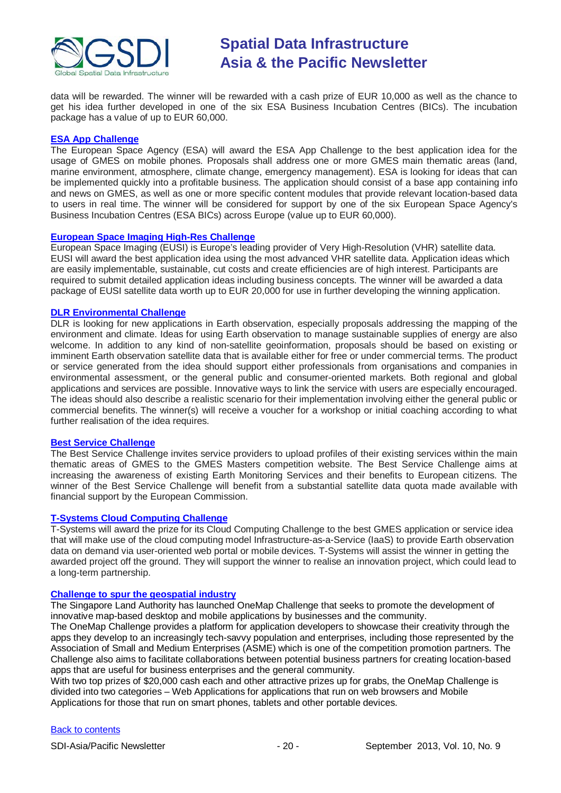

data will be rewarded. The winner will be rewarded with a cash prize of EUR 10,000 as well as the chance to get his idea further developed in one of the six ESA Business Incubation Centres (BICs). The incubation package has a value of up to EUR 60,000.

#### **[ESA App Challenge](http://www.gmes-masters.com/esa-app-challenge)**

The European Space Agency (ESA) will award the ESA App Challenge to the best application idea for the usage of GMES on mobile phones. Proposals shall address one or more GMES main thematic areas (land, marine environment, atmosphere, climate change, emergency management). ESA is looking for ideas that can be implemented quickly into a profitable business. The application should consist of a base app containing info and news on GMES, as well as one or more specific content modules that provide relevant location-based data to users in real time. The winner will be considered for support by one of the six European Space Agency's Business Incubation Centres (ESA BICs) across Europe (value up to EUR 60,000).

#### **[European Space Imaging High-Res Challenge](http://www.gmes-masters.com/european-space-0)**

European Space Imaging (EUSI) is Europe's leading provider of Very High-Resolution (VHR) satellite data. EUSI will award the best application idea using the most advanced VHR satellite data. Application ideas which are easily implementable, sustainable, cut costs and create efficiencies are of high interest. Participants are required to submit detailed application ideas including business concepts. The winner will be awarded a data package of EUSI satellite data worth up to EUR 20,000 for use in further developing the winning application.

#### **[DLR Environmental Challenge](http://www.gmes-masters.com/dlr-environmental)**

DLR is looking for new applications in Earth observation, especially proposals addressing the mapping of the environment and climate. Ideas for using Earth observation to manage sustainable supplies of energy are also welcome. In addition to any kind of non-satellite geoinformation, proposals should be based on existing or imminent Earth observation satellite data that is available either for free or under commercial terms. The product or service generated from the idea should support either professionals from organisations and companies in environmental assessment, or the general public and consumer-oriented markets. Both regional and global applications and services are possible. Innovative ways to link the service with users are especially encouraged. The ideas should also describe a realistic scenario for their implementation involving either the general public or commercial benefits. The winner(s) will receive a voucher for a workshop or initial coaching according to what further realisation of the idea requires.

#### **[Best Service Challenge](http://www.gmes-masters.com/best-service)**

The Best Service Challenge invites service providers to upload profiles of their existing services within the main thematic areas of GMES to the GMES Masters competition website. The Best Service Challenge aims at increasing the awareness of existing Earth Monitoring Services and their benefits to European citizens. The winner of the Best Service Challenge will benefit from a substantial satellite data quota made available with financial support by the European Commission.

#### **[T-Systems Cloud Computing Challenge](http://www.gmes-masters.com/t-systems-cloud)**

T-Systems will award the prize for its Cloud Computing Challenge to the best GMES application or service idea that will make use of the cloud computing model Infrastructure-as-a-Service (IaaS) to provide Earth observation data on demand via user-oriented web portal or mobile devices. T-Systems will assist the winner in getting the awarded project off the ground. They will support the winner to realise an innovation project, which could lead to a long-term partnership.

#### **[Challenge to spur the geospatial industry](http://geospatialworld.net/index.php?option=com_content&view=article&id=23850:challenge-to-spur-the-geospatial-industry&catid=75:miscellaneous-events)**

The Singapore Land Authority has launched OneMap Challenge that seeks to promote the development of innovative map-based desktop and mobile applications by businesses and the community.

The OneMap Challenge provides a platform for application developers to showcase their creativity through the apps they develop to an increasingly tech-savvy population and enterprises, including those represented by the Association of Small and Medium Enterprises (ASME) which is one of the competition promotion partners. The Challenge also aims to facilitate collaborations between potential business partners for creating location-based apps that are useful for business enterprises and the general community.

With two top prizes of \$20,000 cash each and other attractive prizes up for grabs, the OneMap Challenge is divided into two categories – Web Applications for applications that run on web browsers and Mobile Applications for those that run on smart phones, tablets and other portable devices.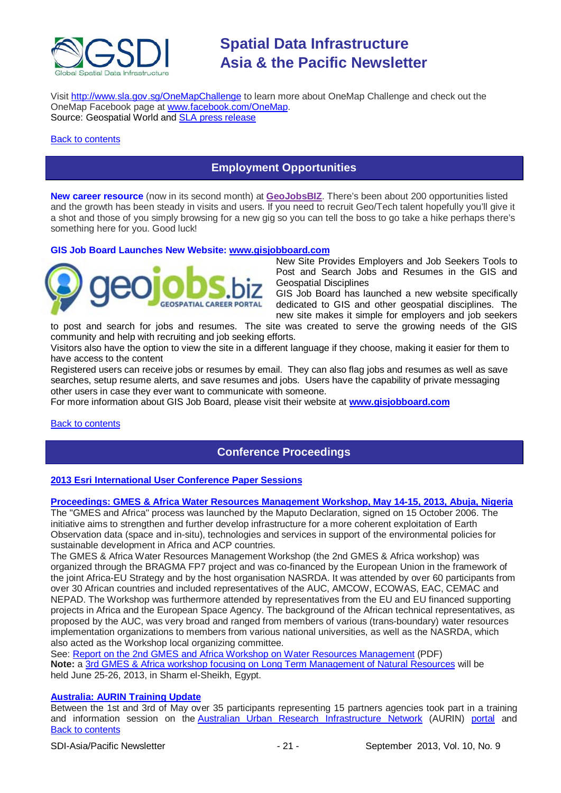

Visit <http://www.sla.gov.sg/OneMapChallenge> to learn more about OneMap Challenge and check out the OneMap Facebook page at [www.facebook.com/OneMap.](http://www.facebook.com/OneMap) Source: Geospatial World and **SLA** press release

#### <span id="page-20-0"></span>[Back to contents](#page-0-0)

### **Employment Opportunities**

**New career resource** (now in its second month) at **[GeoJobsBIZ](http://geojobs.biz/)**. There's been about 200 opportunities listed and the growth has been steady in visits and users. If you need to recruit Geo/Tech talent hopefully you'll give it a shot and those of you simply browsing for a new gig so you can tell the boss to go take a hike perhaps there's something here for you. Good luck!

#### **GIS Job Board Launches New Website: [www.gisjobboard.com](http://www.gisjobboard.com/)**



New Site Provides Employers and Job Seekers Tools to Post and Search Jobs and Resumes in the GIS and Geospatial Disciplines

GIS Job Board has launched a new website specifically dedicated to GIS and other geospatial disciplines. The new site makes it simple for employers and job seekers

to post and search for jobs and resumes. The site was created to serve the growing needs of the GIS community and help with recruiting and job seeking efforts.

Visitors also have the option to view the site in a different language if they choose, making it easier for them to have access to the content

Registered users can receive jobs or resumes by email. They can also flag jobs and resumes as well as save searches, setup resume alerts, and save resumes and jobs. Users have the capability of private messaging other users in case they ever want to communicate with someone.

For more information about GIS Job Board, please visit their website at **[www.gisjobboard.com](http://www.gisjobboard.com/)**

#### <span id="page-20-1"></span>**[Back to contents](#page-0-0)**

### **Conference Proceedings**

#### **[2013 Esri International User Conference Paper Sessions](http://proceedings.esri.com/library/userconf/proc13/index.html)**

#### **[Proceedings: GMES & Africa Water Resources Management Workshop, May 14-15, 2013, Abuja, Nigeria](http://capacity4dev.ec.europa.eu/africa-eu-part.gmes/minisite/water-resources-management-workshop-14-15-may-2013-abuja-nigeria)**

The "GMES and Africa" process was launched by the Maputo Declaration, signed on 15 October 2006. The initiative aims to strengthen and further develop infrastructure for a more coherent exploitation of Earth Observation data (space and in-situ), technologies and services in support of the environmental policies for sustainable development in Africa and ACP countries.

The GMES & Africa Water Resources Management Workshop (the 2nd GMES & Africa workshop) was organized through the BRAGMA FP7 project and was co-financed by the European Union in the framework of the joint Africa-EU Strategy and by the host organisation NASRDA. It was attended by over 60 participants from over 30 African countries and included representatives of the AUC, AMCOW, ECOWAS, EAC, CEMAC and NEPAD. The Workshop was furthermore attended by representatives from the EU and EU financed supporting projects in Africa and the European Space Agency. The background of the African technical representatives, as proposed by the AUC, was very broad and ranged from members of various (trans-boundary) water resources implementation organizations to members from various national universities, as well as the NASRDA, which also acted as the Workshop local organizing committee.

See: [Report on the 2nd GMES and Africa Workshop on Water Resources Management](http://capacity4dev.ec.europa.eu/sites/default/files/file/23/05/2013_-_1210/report_on_the_2nd_gmes_and_africa_workshop_on_wrm.pdf) (PDF) **Note:** a 3rd [GMES & Africa workshop focusing on Long Term Management of Natural Resources](http://capacity4dev.ec.europa.eu/africa-eu-part.gmes/minisite/3-long-term-management-natural-resources-workshop) will be held June 25-26, 2013, in Sharm el-Sheikh, Egypt.

#### **[Australia: AURIN Training Update](http://blogs.unimelb.edu.au/aurinands/2013/05/13/aurin-training-update/)**

[Back to contents](#page-0-0) Between the 1st and 3rd of May over 35 participants representing 15 partners agencies took part in a training and information session on the [Australian Urban Research Infrastructure Network](http://aurin.org.au/) (AURIN) [portal](https://apps.aurin.org.au/gate/index.html) and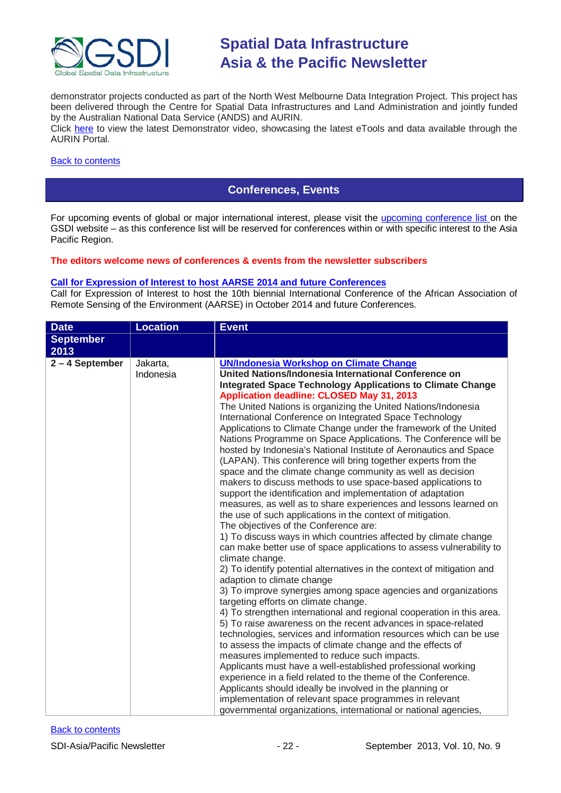

demonstrator projects conducted as part of the North West Melbourne Data Integration Project. This project has been delivered through the Centre for Spatial Data Infrastructures and Land Administration and jointly funded by the Australian National Data Service (ANDS) and AURIN.

Click [here](http://vimeo.com/62744887) to view the latest Demonstrator video, showcasing the latest eTools and data available through the AURIN Portal.

#### <span id="page-21-0"></span>[Back to contents](#page-0-0)

### **Conferences, Events**

For upcoming events of global or major international interest, please visit the [upcoming conference list o](http://gsdi.org/events/upcnf.asp)n the GSDI website – as this conference list will be reserved for conferences within or with specific interest to the Asia Pacific Region.

#### **The editors welcome news of conferences & events from the newsletter subscribers**

#### **[Call for Expression of Interest to host AARSE 2014 and future Conferences](http://lists.gsdi.org/pipermail/sdi-africa/2010-November/001135.html)**

Call for Expression of Interest to host the 10th biennial International Conference of the African Association of Remote Sensing of the Environment (AARSE) in October 2014 and future Conferences.

| <b>Date</b>      | <b>Location</b>       | <b>Event</b>                                                                                                                                                                                                                                                                                                                                                                                                                                                                                                                                                                                                                                                                                                                                                                                                                                                                                                                                                                                                                                                                                                                                                                                                                                                                                                                                                                                                                                                                                                                                                                                                                                                                                                                                                                                                                                                                                                                                                                                                                                       |
|------------------|-----------------------|----------------------------------------------------------------------------------------------------------------------------------------------------------------------------------------------------------------------------------------------------------------------------------------------------------------------------------------------------------------------------------------------------------------------------------------------------------------------------------------------------------------------------------------------------------------------------------------------------------------------------------------------------------------------------------------------------------------------------------------------------------------------------------------------------------------------------------------------------------------------------------------------------------------------------------------------------------------------------------------------------------------------------------------------------------------------------------------------------------------------------------------------------------------------------------------------------------------------------------------------------------------------------------------------------------------------------------------------------------------------------------------------------------------------------------------------------------------------------------------------------------------------------------------------------------------------------------------------------------------------------------------------------------------------------------------------------------------------------------------------------------------------------------------------------------------------------------------------------------------------------------------------------------------------------------------------------------------------------------------------------------------------------------------------------|
| <b>September</b> |                       |                                                                                                                                                                                                                                                                                                                                                                                                                                                                                                                                                                                                                                                                                                                                                                                                                                                                                                                                                                                                                                                                                                                                                                                                                                                                                                                                                                                                                                                                                                                                                                                                                                                                                                                                                                                                                                                                                                                                                                                                                                                    |
| 2013             |                       |                                                                                                                                                                                                                                                                                                                                                                                                                                                                                                                                                                                                                                                                                                                                                                                                                                                                                                                                                                                                                                                                                                                                                                                                                                                                                                                                                                                                                                                                                                                                                                                                                                                                                                                                                                                                                                                                                                                                                                                                                                                    |
| 2-4 September    | Jakarta,<br>Indonesia | <b>UN/Indonesia Workshop on Climate Change</b><br>United Nations/Indonesia International Conference on<br><b>Integrated Space Technology Applications to Climate Change</b><br>Application deadline: CLOSED May 31, 2013<br>The United Nations is organizing the United Nations/Indonesia<br>International Conference on Integrated Space Technology<br>Applications to Climate Change under the framework of the United<br>Nations Programme on Space Applications. The Conference will be<br>hosted by Indonesia's National Institute of Aeronautics and Space<br>(LAPAN). This conference will bring together experts from the<br>space and the climate change community as well as decision<br>makers to discuss methods to use space-based applications to<br>support the identification and implementation of adaptation<br>measures, as well as to share experiences and lessons learned on<br>the use of such applications in the context of mitigation.<br>The objectives of the Conference are:<br>1) To discuss ways in which countries affected by climate change<br>can make better use of space applications to assess vulnerability to<br>climate change.<br>2) To identify potential alternatives in the context of mitigation and<br>adaption to climate change<br>3) To improve synergies among space agencies and organizations<br>targeting efforts on climate change.<br>4) To strengthen international and regional cooperation in this area.<br>5) To raise awareness on the recent advances in space-related<br>technologies, services and information resources which can be use<br>to assess the impacts of climate change and the effects of<br>measures implemented to reduce such impacts.<br>Applicants must have a well-established professional working<br>experience in a field related to the theme of the Conference.<br>Applicants should ideally be involved in the planning or<br>implementation of relevant space programmes in relevant<br>governmental organizations, international or national agencies, |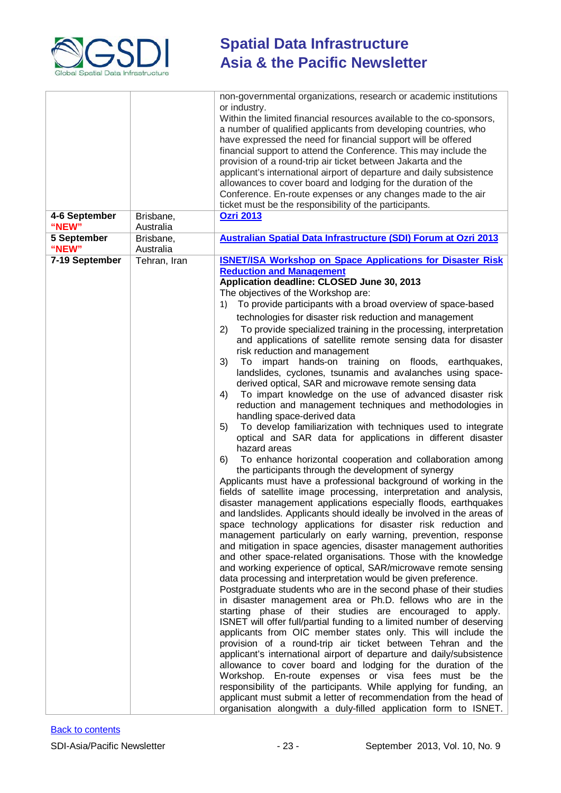

| 4-6 September           | Brisbane,                 | non-governmental organizations, research or academic institutions<br>or industry.<br>Within the limited financial resources available to the co-sponsors,<br>a number of qualified applicants from developing countries, who<br>have expressed the need for financial support will be offered<br>financial support to attend the Conference. This may include the<br>provision of a round-trip air ticket between Jakarta and the<br>applicant's international airport of departure and daily subsistence<br>allowances to cover board and lodging for the duration of the<br>Conference. En-route expenses or any changes made to the air<br>ticket must be the responsibility of the participants.<br><b>Ozri 2013</b>                                                                                                                                                                                                                                                                                                                                                                                                                                                                                                                                                                                                                                                                                                                                                                                                                                                                                                                                                                                                                                                                                                                                                                                                                                                                                                                                                                                                                                                                                                                                                                                                                                                                                                                                                                                                                                                                                 |
|-------------------------|---------------------------|----------------------------------------------------------------------------------------------------------------------------------------------------------------------------------------------------------------------------------------------------------------------------------------------------------------------------------------------------------------------------------------------------------------------------------------------------------------------------------------------------------------------------------------------------------------------------------------------------------------------------------------------------------------------------------------------------------------------------------------------------------------------------------------------------------------------------------------------------------------------------------------------------------------------------------------------------------------------------------------------------------------------------------------------------------------------------------------------------------------------------------------------------------------------------------------------------------------------------------------------------------------------------------------------------------------------------------------------------------------------------------------------------------------------------------------------------------------------------------------------------------------------------------------------------------------------------------------------------------------------------------------------------------------------------------------------------------------------------------------------------------------------------------------------------------------------------------------------------------------------------------------------------------------------------------------------------------------------------------------------------------------------------------------------------------------------------------------------------------------------------------------------------------------------------------------------------------------------------------------------------------------------------------------------------------------------------------------------------------------------------------------------------------------------------------------------------------------------------------------------------------------------------------------------------------------------------------------------------------|
| "NEW"<br>5 September    | Australia<br>Brisbane,    | Australian Spatial Data Infrastructure (SDI) Forum at Ozri 2013                                                                                                                                                                                                                                                                                                                                                                                                                                                                                                                                                                                                                                                                                                                                                                                                                                                                                                                                                                                                                                                                                                                                                                                                                                                                                                                                                                                                                                                                                                                                                                                                                                                                                                                                                                                                                                                                                                                                                                                                                                                                                                                                                                                                                                                                                                                                                                                                                                                                                                                                          |
| "NEW"<br>7-19 September | Australia<br>Tehran, Iran | <b>ISNET/ISA Workshop on Space Applications for Disaster Risk</b>                                                                                                                                                                                                                                                                                                                                                                                                                                                                                                                                                                                                                                                                                                                                                                                                                                                                                                                                                                                                                                                                                                                                                                                                                                                                                                                                                                                                                                                                                                                                                                                                                                                                                                                                                                                                                                                                                                                                                                                                                                                                                                                                                                                                                                                                                                                                                                                                                                                                                                                                        |
|                         |                           | <b>Reduction and Management</b><br>Application deadline: CLOSED June 30, 2013<br>The objectives of the Workshop are:<br>To provide participants with a broad overview of space-based<br>1)<br>technologies for disaster risk reduction and management<br>To provide specialized training in the processing, interpretation<br>2)<br>and applications of satellite remote sensing data for disaster<br>risk reduction and management<br>impart hands-on training on floods,<br>3)<br>To<br>earthquakes,<br>landslides, cyclones, tsunamis and avalanches using space-<br>derived optical, SAR and microwave remote sensing data<br>To impart knowledge on the use of advanced disaster risk<br>4)<br>reduction and management techniques and methodologies in<br>handling space-derived data<br>To develop familiarization with techniques used to integrate<br>5)<br>optical and SAR data for applications in different disaster<br>hazard areas<br>To enhance horizontal cooperation and collaboration among<br>6)<br>the participants through the development of synergy<br>Applicants must have a professional background of working in the<br>fields of satellite image processing, interpretation and analysis,<br>disaster management applications especially floods, earthquakes<br>and landslides. Applicants should ideally be involved in the areas of<br>space technology applications for disaster risk reduction and<br>management particularly on early warning, prevention, response<br>and mitigation in space agencies, disaster management authorities<br>and other space-related organisations. Those with the knowledge<br>and working experience of optical, SAR/microwave remote sensing<br>data processing and interpretation would be given preference.<br>Postgraduate students who are in the second phase of their studies<br>in disaster management area or Ph.D. fellows who are in the<br>starting phase of their studies are encouraged to apply.<br>ISNET will offer full/partial funding to a limited number of deserving<br>applicants from OIC member states only. This will include the<br>provision of a round-trip air ticket between Tehran and the<br>applicant's international airport of departure and daily/subsistence<br>allowance to cover board and lodging for the duration of the<br>Workshop. En-route expenses or visa fees must be the<br>responsibility of the participants. While applying for funding, an<br>applicant must submit a letter of recommendation from the head of<br>organisation alongwith a duly-filled application form to ISNET. |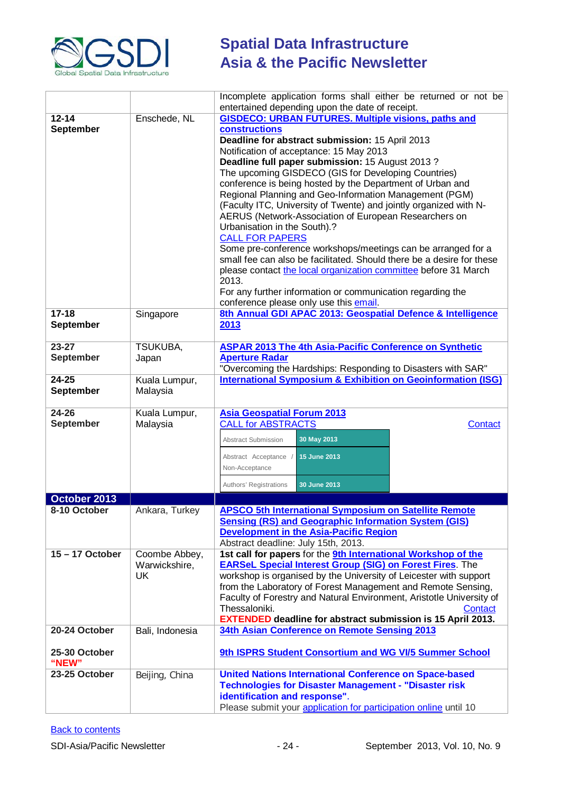

|                        |                 | Incomplete application forms shall either be returned or not be                       |
|------------------------|-----------------|---------------------------------------------------------------------------------------|
|                        |                 | entertained depending upon the date of receipt.                                       |
| $12 - 14$              | Enschede, NL    | <b>GISDECO: URBAN FUTURES. Multiple visions, paths and</b>                            |
| <b>September</b>       |                 | constructions                                                                         |
|                        |                 | Deadline for abstract submission: 15 April 2013                                       |
|                        |                 | Notification of acceptance: 15 May 2013                                               |
|                        |                 | Deadline full paper submission: 15 August 2013?                                       |
|                        |                 | The upcoming GISDECO (GIS for Developing Countries)                                   |
|                        |                 | conference is being hosted by the Department of Urban and                             |
|                        |                 | Regional Planning and Geo-Information Management (PGM)                                |
|                        |                 | (Faculty ITC, University of Twente) and jointly organized with N-                     |
|                        |                 | AERUS (Network-Association of European Researchers on<br>Urbanisation in the South).? |
|                        |                 | <b>CALL FOR PAPERS</b>                                                                |
|                        |                 | Some pre-conference workshops/meetings can be arranged for a                          |
|                        |                 | small fee can also be facilitated. Should there be a desire for these                 |
|                        |                 | please contact the local organization committee before 31 March                       |
|                        |                 | 2013.                                                                                 |
|                        |                 | For any further information or communication regarding the                            |
|                        |                 | conference please only use this email.                                                |
| $17 - 18$              | Singapore       | 8th Annual GDI APAC 2013: Geospatial Defence & Intelligence                           |
| <b>September</b>       |                 | 2013                                                                                  |
|                        |                 |                                                                                       |
| $23 - 27$              | TSUKUBA,        | <b>ASPAR 2013 The 4th Asia-Pacific Conference on Synthetic</b>                        |
| <b>September</b>       | Japan           | <b>Aperture Radar</b>                                                                 |
|                        |                 | "Overcoming the Hardships: Responding to Disasters with SAR"                          |
| $24 - 25$              | Kuala Lumpur,   | <b>International Symposium &amp; Exhibition on Geoinformation (ISG)</b>               |
| September              | Malaysia        |                                                                                       |
| $24 - 26$              | Kuala Lumpur,   | <b>Asia Geospatial Forum 2013</b>                                                     |
| <b>September</b>       | Malaysia        | <b>CALL for ABSTRACTS</b><br>Contact                                                  |
|                        |                 |                                                                                       |
|                        |                 | 30 May 2013<br>Abstract Submission                                                    |
|                        |                 | 15 June 2013<br>Abstract Acceptance /                                                 |
|                        |                 | Non-Acceptance                                                                        |
|                        |                 | 30 June 2013<br>Authors' Registrations                                                |
|                        |                 |                                                                                       |
| October 2013           |                 | <b>APSCO 5th International Symposium on Satellite Remote</b>                          |
| 8-10 October           | Ankara, Turkey  | <b>Sensing (RS) and Geographic Information System (GIS)</b>                           |
|                        |                 | <b>Development in the Asia-Pacific Region</b>                                         |
|                        |                 | Abstract deadline: July 15th, 2013.                                                   |
| $15 - 17$ October      | Coombe Abbey,   | 1st call for papers for the 9th International Workshop of the                         |
|                        | Warwickshire,   | <b>EARSeL Special Interest Group (SIG) on Forest Fires.</b> The                       |
|                        | <b>UK</b>       | workshop is organised by the University of Leicester with support                     |
|                        |                 | from the Laboratory of Forest Management and Remote Sensing,                          |
|                        |                 | Faculty of Forestry and Natural Environment, Aristotle University of                  |
|                        |                 | Thessaloniki.<br>Contact                                                              |
|                        |                 | <b>EXTENDED deadline for abstract submission is 15 April 2013.</b>                    |
| 20-24 October          | Bali, Indonesia | 34th Asian Conference on Remote Sensing 2013                                          |
|                        |                 |                                                                                       |
| 25-30 October          |                 | 9th ISPRS Student Consortium and WG VI/5 Summer School                                |
| "NEW"<br>23-25 October |                 | <b>United Nations International Conference on Space-based</b>                         |
|                        | Beijing, China  | <b>Technologies for Disaster Management - "Disaster risk</b>                          |
|                        |                 | identification and response".                                                         |
|                        |                 | Please submit your application for participation online until 10                      |
|                        |                 |                                                                                       |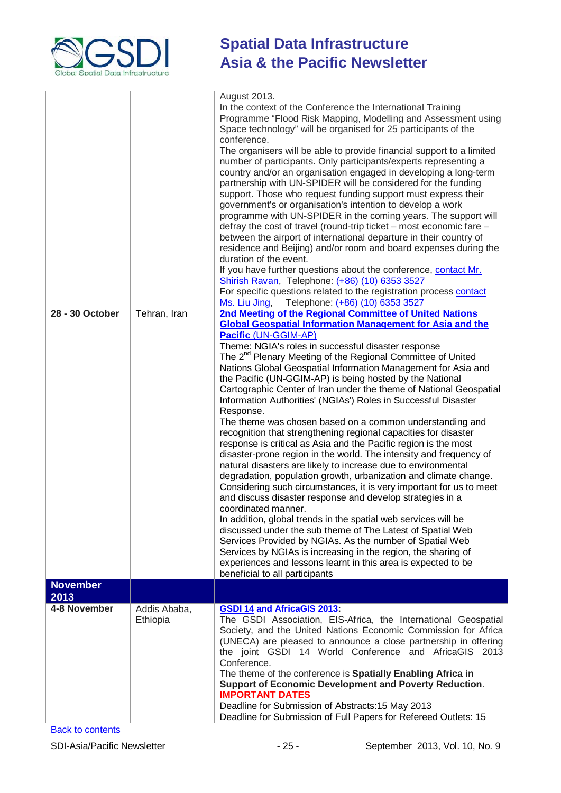

|                         |                          | August 2013.<br>In the context of the Conference the International Training<br>Programme "Flood Risk Mapping, Modelling and Assessment using<br>Space technology" will be organised for 25 participants of the<br>conference.<br>The organisers will be able to provide financial support to a limited<br>number of participants. Only participants/experts representing a<br>country and/or an organisation engaged in developing a long-term<br>partnership with UN-SPIDER will be considered for the funding<br>support. Those who request funding support must express their<br>government's or organisation's intention to develop a work<br>programme with UN-SPIDER in the coming years. The support will<br>defray the cost of travel (round-trip ticket – most economic fare –<br>between the airport of international departure in their country of<br>residence and Beijing) and/or room and board expenses during the<br>duration of the event.<br>If you have further questions about the conference, contact Mr.<br>Shirish Ravan, Telephone: (+86) (10) 6353 3527<br>For specific questions related to the registration process contact<br>Ms. Liu Jing, Telephone: (+86) (10) 6353 3527                                                                                                                                                                                                                                                                                                         |
|-------------------------|--------------------------|-----------------------------------------------------------------------------------------------------------------------------------------------------------------------------------------------------------------------------------------------------------------------------------------------------------------------------------------------------------------------------------------------------------------------------------------------------------------------------------------------------------------------------------------------------------------------------------------------------------------------------------------------------------------------------------------------------------------------------------------------------------------------------------------------------------------------------------------------------------------------------------------------------------------------------------------------------------------------------------------------------------------------------------------------------------------------------------------------------------------------------------------------------------------------------------------------------------------------------------------------------------------------------------------------------------------------------------------------------------------------------------------------------------------------------------------------------------------------------------------------------------------|
| 28 - 30 October         | Tehran, Iran             | 2nd Meeting of the Regional Committee of United Nations<br><b>Global Geospatial Information Management for Asia and the</b><br>Pacific (UN-GGIM-AP)<br>Theme: NGIA's roles in successful disaster response<br>The 2 <sup>nd</sup> Plenary Meeting of the Regional Committee of United<br>Nations Global Geospatial Information Management for Asia and<br>the Pacific (UN-GGIM-AP) is being hosted by the National<br>Cartographic Center of Iran under the theme of National Geospatial<br>Information Authorities' (NGIAs') Roles in Successful Disaster<br>Response.<br>The theme was chosen based on a common understanding and<br>recognition that strengthening regional capacities for disaster<br>response is critical as Asia and the Pacific region is the most<br>disaster-prone region in the world. The intensity and frequency of<br>natural disasters are likely to increase due to environmental<br>degradation, population growth, urbanization and climate change.<br>Considering such circumstances, it is very important for us to meet<br>and discuss disaster response and develop strategies in a<br>coordinated manner.<br>In addition, global trends in the spatial web services will be<br>discussed under the sub theme of The Latest of Spatial Web<br>Services Provided by NGIAs. As the number of Spatial Web<br>Services by NGIAs is increasing in the region, the sharing of<br>experiences and lessons learnt in this area is expected to be<br>beneficial to all participants |
| <b>November</b><br>2013 |                          |                                                                                                                                                                                                                                                                                                                                                                                                                                                                                                                                                                                                                                                                                                                                                                                                                                                                                                                                                                                                                                                                                                                                                                                                                                                                                                                                                                                                                                                                                                                 |
| 4-8 November            | Addis Ababa,<br>Ethiopia | <b>GSDI 14 and AfricaGIS 2013:</b><br>The GSDI Association, EIS-Africa, the International Geospatial<br>Society, and the United Nations Economic Commission for Africa<br>(UNECA) are pleased to announce a close partnership in offering<br>the joint GSDI 14 World Conference and AfricaGIS 2013<br>Conference.<br>The theme of the conference is Spatially Enabling Africa in<br>Support of Economic Development and Poverty Reduction.<br><b>IMPORTANT DATES</b><br>Deadline for Submission of Abstracts: 15 May 2013<br>Deadline for Submission of Full Papers for Refereed Outlets: 15                                                                                                                                                                                                                                                                                                                                                                                                                                                                                                                                                                                                                                                                                                                                                                                                                                                                                                                    |